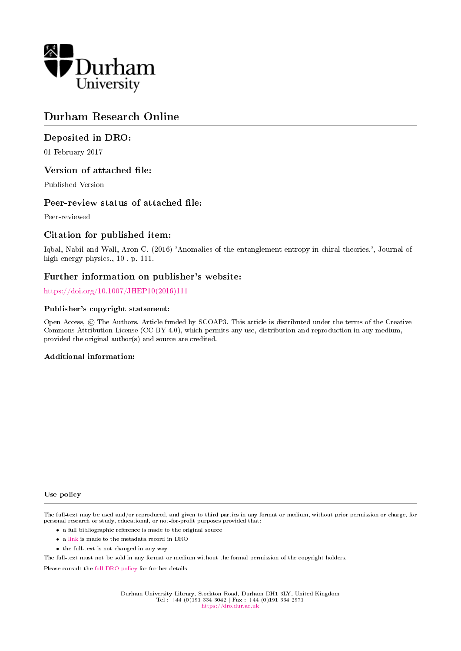

# Durham Research Online

# Deposited in DRO:

01 February 2017

# Version of attached file:

Published Version

# Peer-review status of attached file:

Peer-reviewed

# Citation for published item:

Iqbal, Nabil and Wall, Aron C. (2016) 'Anomalies of the entanglement entropy in chiral theories.', Journal of high energy physics., 10 . p. 111.

# Further information on publisher's website:

[https://doi.org/10.1007/JHEP10\(2016\)111](https://doi.org/10.1007/JHEP10(2016)111)

# Publisher's copyright statement:

Open Access, © The Authors. Article funded by SCOAP3. This article is distributed under the terms of the Creative Commons Attribution License (CC-BY 4.0), which permits any use, distribution and reproduction in any medium, provided the original author(s) and source are credited.

## Additional information:

#### Use policy

The full-text may be used and/or reproduced, and given to third parties in any format or medium, without prior permission or charge, for personal research or study, educational, or not-for-profit purposes provided that:

- a full bibliographic reference is made to the original source
- a [link](http://dro.dur.ac.uk/20818/) is made to the metadata record in DRO
- the full-text is not changed in any way

The full-text must not be sold in any format or medium without the formal permission of the copyright holders.

Please consult the [full DRO policy](https://dro.dur.ac.uk/policies/usepolicy.pdf) for further details.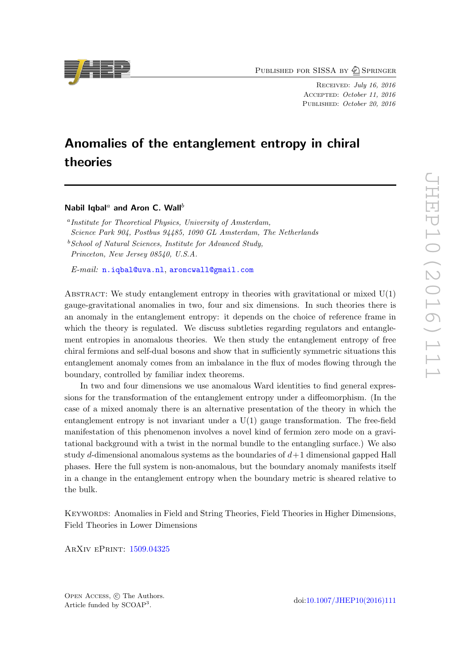PUBLISHED FOR SISSA BY 2 SPRINGER

Received: July 16, 2016 Accepted: October 11, 2016 PUBLISHED: October 20, 2016

# Anomalies of the entanglement entropy in chiral theories

Nabil Iqbal<sup>a</sup> and Aron C. Wall<sup>b</sup>

<sup>a</sup> Institute for Theoretical Physics, University of Amsterdam, Science Park 904, Postbus 94485, 1090 GL Amsterdam, The Netherlands  $b$  School of Natural Sciences, Institute for Advanced Study, Princeton, New Jersey 08540, U.S.A.

E-mail: [n.iqbal@uva.nl](mailto:n.iqbal@uva.nl), [aroncwall@gmail.com](mailto:aroncwall@gmail.com)

ABSTRACT: We study entanglement entropy in theories with gravitational or mixed  $U(1)$ gauge-gravitational anomalies in two, four and six dimensions. In such theories there is an anomaly in the entanglement entropy: it depends on the choice of reference frame in which the theory is regulated. We discuss subtleties regarding regulators and entanglement entropies in anomalous theories. We then study the entanglement entropy of free chiral fermions and self-dual bosons and show that in sufficiently symmetric situations this entanglement anomaly comes from an imbalance in the flux of modes flowing through the boundary, controlled by familiar index theorems.

In two and four dimensions we use anomalous Ward identities to find general expressions for the transformation of the entanglement entropy under a diffeomorphism. (In the case of a mixed anomaly there is an alternative presentation of the theory in which the entanglement entropy is not invariant under a U(1) gauge transformation. The free-field manifestation of this phenomenon involves a novel kind of fermion zero mode on a gravitational background with a twist in the normal bundle to the entangling surface.) We also study d-dimensional anomalous systems as the boundaries of  $d+1$  dimensional gapped Hall phases. Here the full system is non-anomalous, but the boundary anomaly manifests itself in a change in the entanglement entropy when the boundary metric is sheared relative to the bulk.

Keywords: Anomalies in Field and String Theories, Field Theories in Higher Dimensions, Field Theories in Lower Dimensions

ArXiv ePrint: [1509.04325](https://arxiv.org/abs/1509.04325)

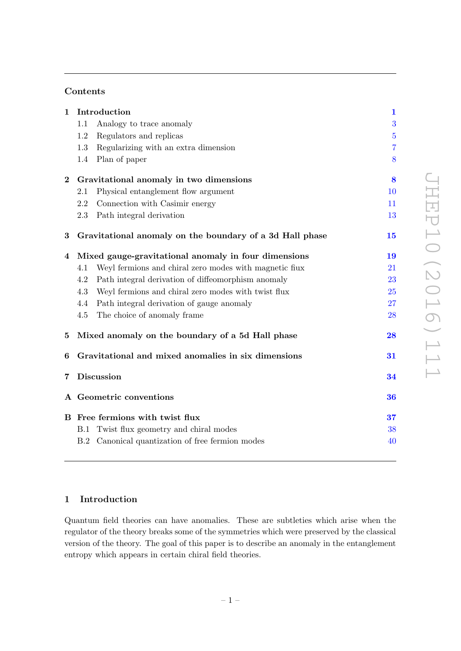# Contents

| Introduction<br>$\mathbf{1}$                        |                                                        | $\mathbf{1}$                                                                                                                                                                                                                                                                                                                           |
|-----------------------------------------------------|--------------------------------------------------------|----------------------------------------------------------------------------------------------------------------------------------------------------------------------------------------------------------------------------------------------------------------------------------------------------------------------------------------|
| 1.1                                                 | Analogy to trace anomaly                               | 3                                                                                                                                                                                                                                                                                                                                      |
| 1.2                                                 | Regulators and replicas                                | $\overline{5}$                                                                                                                                                                                                                                                                                                                         |
| 1.3                                                 | Regularizing with an extra dimension                   | $\overline{7}$                                                                                                                                                                                                                                                                                                                         |
| 1.4                                                 | Plan of paper                                          | 8                                                                                                                                                                                                                                                                                                                                      |
| Gravitational anomaly in two dimensions<br>$\bf{2}$ |                                                        | 8                                                                                                                                                                                                                                                                                                                                      |
| 2.1                                                 | Physical entanglement flow argument                    | 10                                                                                                                                                                                                                                                                                                                                     |
| 2.2                                                 | Connection with Casimir energy                         | 11                                                                                                                                                                                                                                                                                                                                     |
| 2.3                                                 | Path integral derivation                               | 13                                                                                                                                                                                                                                                                                                                                     |
|                                                     |                                                        | 15                                                                                                                                                                                                                                                                                                                                     |
|                                                     |                                                        | 19                                                                                                                                                                                                                                                                                                                                     |
| 4.1                                                 | Weyl fermions and chiral zero modes with magnetic flux | 21                                                                                                                                                                                                                                                                                                                                     |
| 4.2                                                 | Path integral derivation of diffeomorphism anomaly     | 23                                                                                                                                                                                                                                                                                                                                     |
| 4.3                                                 | Weyl fermions and chiral zero modes with twist flux    | 25                                                                                                                                                                                                                                                                                                                                     |
| 4.4                                                 | Path integral derivation of gauge anomaly              | 27                                                                                                                                                                                                                                                                                                                                     |
| 4.5                                                 | The choice of anomaly frame                            | 28                                                                                                                                                                                                                                                                                                                                     |
|                                                     |                                                        | 28                                                                                                                                                                                                                                                                                                                                     |
|                                                     |                                                        | 31                                                                                                                                                                                                                                                                                                                                     |
|                                                     |                                                        | 34                                                                                                                                                                                                                                                                                                                                     |
|                                                     |                                                        | 36                                                                                                                                                                                                                                                                                                                                     |
| B Free fermions with twist flux                     |                                                        | 37                                                                                                                                                                                                                                                                                                                                     |
|                                                     | Twist flux geometry and chiral modes                   | 38                                                                                                                                                                                                                                                                                                                                     |
|                                                     |                                                        | 40                                                                                                                                                                                                                                                                                                                                     |
|                                                     |                                                        | Gravitational anomaly on the boundary of a 3d Hall phase<br>Mixed gauge-gravitational anomaly in four dimensions<br>Mixed anomaly on the boundary of a 5d Hall phase<br>Gravitational and mixed anomalies in six dimensions<br><b>Discussion</b><br>A Geometric conventions<br>B.1<br>B.2 Canonical quantization of free fermion modes |

# <span id="page-2-0"></span>1 Introduction

Quantum field theories can have anomalies. These are subtleties which arise when the regulator of the theory breaks some of the symmetries which were preserved by the classical version of the theory. The goal of this paper is to describe an anomaly in the entanglement entropy which appears in certain chiral field theories.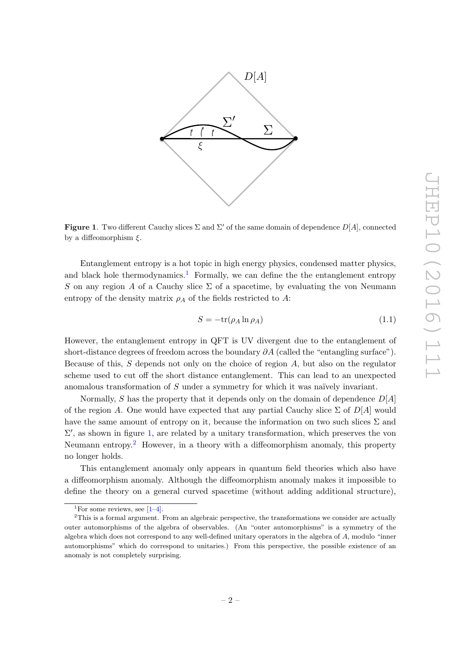

<span id="page-3-1"></span>**Figure 1.** Two different Cauchy slices  $\Sigma$  and  $\Sigma'$  of the same domain of dependence  $D[A]$ , connected by a diffeomorphism  $\xi$ .

Entanglement entropy is a hot topic in high energy physics, condensed matter physics, and black hole thermodynamics.<sup>[1](#page-3-0)</sup> Formally, we can define the the entanglement entropy S on any region A of a Cauchy slice  $\Sigma$  of a spacetime, by evaluating the von Neumann entropy of the density matrix  $\rho_A$  of the fields restricted to A:

$$
S = -\text{tr}(\rho_A \ln \rho_A) \tag{1.1}
$$

However, the entanglement entropy in QFT is UV divergent due to the entanglement of short-distance degrees of freedom across the boundary  $\partial A$  (called the "entangling surface"). Because of this,  $S$  depends not only on the choice of region  $A$ , but also on the regulator scheme used to cut off the short distance entanglement. This can lead to an unexpected anomalous transformation of  $S$  under a symmetry for which it was naïvely invariant.

Normally, S has the property that it depends only on the domain of dependence  $D[A]$ of the region A. One would have expected that any partial Cauchy slice  $\Sigma$  of  $D[A]$  would have the same amount of entropy on it, because the information on two such slices  $\Sigma$  and  $\Sigma'$ , as shown in figure [1,](#page-3-1) are related by a unitary transformation, which preserves the von Neumann entropy.[2](#page-3-2) However, in a theory with a diffeomorphism anomaly, this property no longer holds.

This entanglement anomaly only appears in quantum field theories which also have a diffeomorphism anomaly. Although the diffeomorphism anomaly makes it impossible to define the theory on a general curved spacetime (without adding additional structure),

<span id="page-3-2"></span><span id="page-3-0"></span><sup>&</sup>lt;sup>1</sup>For some reviews, see  $[1-4]$  $[1-4]$ .

<sup>&</sup>lt;sup>2</sup>This is a formal argument. From an algebraic perspective, the transformations we consider are actually outer automorphisms of the algebra of observables. (An "outer automorphisms" is a symmetry of the algebra which does not correspond to any well-defined unitary operators in the algebra of A, modulo "inner automorphisms" which do correspond to unitaries.) From this perspective, the possible existence of an anomaly is not completely surprising.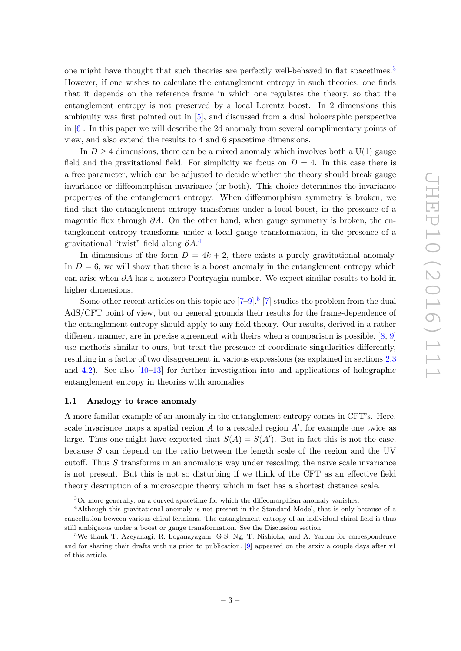one might have thought that such theories are perfectly well-behaved in flat spacetimes.<sup>[3](#page-4-1)</sup> However, if one wishes to calculate the entanglement entropy in such theories, one finds that it depends on the reference frame in which one regulates the theory, so that the entanglement entropy is not preserved by a local Lorentz boost. In 2 dimensions this ambiguity was first pointed out in [\[5\]](#page-43-1), and discussed from a dual holographic perspective in [\[6\]](#page-43-2). In this paper we will describe the 2d anomaly from several complimentary points of view, and also extend the results to 4 and 6 spacetime dimensions.

In  $D \geq 4$  dimensions, there can be a mixed anomaly which involves both a U(1) gauge field and the gravitational field. For simplicity we focus on  $D = 4$ . In this case there is a free parameter, which can be adjusted to decide whether the theory should break gauge invariance or diffeomorphism invariance (or both). This choice determines the invariance properties of the entanglement entropy. When diffeomorphism symmetry is broken, we find that the entanglement entropy transforms under a local boost, in the presence of a magentic flux through  $\partial A$ . On the other hand, when gauge symmetry is broken, the entanglement entropy transforms under a local gauge transformation, in the presence of a gravitational "twist" field along  $\partial A$ .<sup>[4](#page-4-2)</sup>

In dimensions of the form  $D = 4k + 2$ , there exists a purely gravitational anomaly. In  $D = 6$ , we will show that there is a boost anomaly in the entanglement entropy which can arise when  $\partial A$  has a nonzero Pontryagin number. We expect similar results to hold in higher dimensions.

Some other recent articles on this topic are  $[7-9]$  $[7-9]$ .<sup>[5](#page-4-3)</sup> [\[7\]](#page-43-3) studies the problem from the dual AdS/CFT point of view, but on general grounds their results for the frame-dependence of the entanglement entropy should apply to any field theory. Our results, derived in a rather different manner, are in precise agreement with theirs when a comparison is possible. [\[8,](#page-43-5) [9\]](#page-43-4) use methods similar to ours, but treat the presence of coordinate singularities differently, resulting in a factor of two disagreement in various expressions (as explained in sections [2.3](#page-14-0) and [4.2\)](#page-24-0). See also  $[10-13]$  for further investigation into and applications of holographic entanglement entropy in theories with anomalies.

## <span id="page-4-0"></span>1.1 Analogy to trace anomaly

A more familar example of an anomaly in the entanglement entropy comes in CFT's. Here, scale invariance maps a spatial region  $A$  to a rescaled region  $A'$ , for example one twice as large. Thus one might have expected that  $S(A) = S(A')$ . But in fact this is not the case, because  $S$  can depend on the ratio between the length scale of the region and the UV cutoff. Thus  $S$  transforms in an anomalous way under rescaling; the naive scale invariance is not present. But this is not so disturbing if we think of the CFT as an effective field theory description of a microscopic theory which in fact has a shortest distance scale.

<span id="page-4-2"></span><span id="page-4-1"></span><sup>3</sup>Or more generally, on a curved spacetime for which the diffeomorphism anomaly vanishes.

<sup>4</sup>Although this gravitational anomaly is not present in the Standard Model, that is only because of a cancellation beween various chiral fermions. The entanglement entropy of an individual chiral field is thus still ambiguous under a boost or gauge transformation. See the Discussion section.

<span id="page-4-3"></span><sup>5</sup>We thank T. Azeyanagi, R. Loganayagam, G-S. Ng, T. Nishioka, and A. Yarom for correspondence and for sharing their drafts with us prior to publication. [\[9\]](#page-43-4) appeared on the arxiv a couple days after v1 of this article.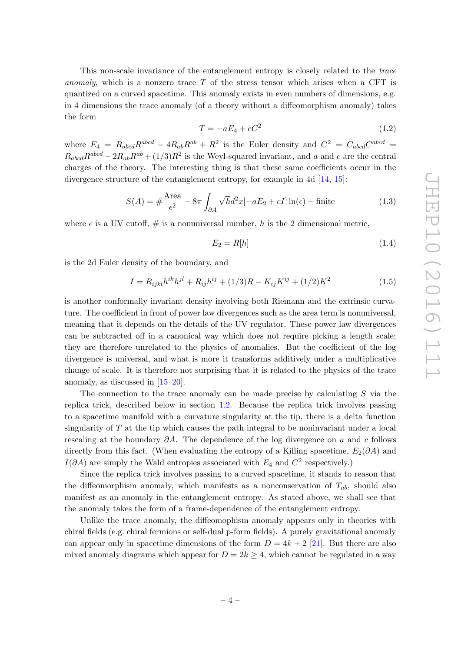This non-scale invariance of the entanglement entropy is closely related to the trace anomaly, which is a nonzero trace  $T$  of the stress tensor which arises when a CFT is quantized on a curved spacetime. This anomaly exists in even numbers of dimensions, e.g. in 4 dimensions the trace anomaly (of a theory without a diffeomorphism anomaly) takes the form

$$
T = -aE_4 + cC^2 \tag{1.2}
$$

where  $E_4 = R_{abcd}R^{abcd} - 4R_{ab}R^{ab} + R^2$  is the Euler density and  $C^2 = C_{abcd}C^{abcd} =$  $R_{abcd}R^{abcd} - 2R_{ab}R^{ab} + (1/3)R^2$  is the Weyl-squared invariant, and a and c are the central charges of the theory. The interesting thing is that these same coefficients occur in the divergence structure of the entanglement entropy, for example in 4d [\[14,](#page-43-8) [15\]](#page-43-9):

$$
S(A) = \# \frac{\text{Area}}{\epsilon^2} - 8\pi \int_{\partial A} \sqrt{h} d^2 x [-aE_2 + cI] \ln(\epsilon) + \text{finite}
$$
 (1.3)

where  $\epsilon$  is a UV cutoff,  $\#$  is a nonuniversal number, h is the 2 dimensional metric,

$$
E_2 = R[h] \tag{1.4}
$$

is the 2d Euler density of the boundary, and

$$
I = R_{ijkl}h^{ik}h^{jl} + R_{ij}h^{ij} + (1/3)R - K_{ij}K^{ij} + (1/2)K^2
$$
\n(1.5)

is another conformally invariant density involving both Riemann and the extrinsic curvature. The coefficient in front of power law divergences such as the area term is nonuniversal, meaning that it depends on the details of the UV regulator. These power law divergences can be subtracted off in a canonical way which does not require picking a length scale; they are therefore unrelated to the physics of anomalies. But the coefficient of the log divergence is universal, and what is more it transforms additively under a multiplicative change of scale. It is therefore not surprising that it is related to the physics of the trace anomaly, as discussed in [\[15](#page-43-9)[–20\]](#page-43-10).

The connection to the trace anomaly can be made precise by calculating S via the replica trick, described below in section [1.2.](#page-6-0) Because the replica trick involves passing to a spacetime manifold with a curvature singularity at the tip, there is a delta function singularity of T at the tip which causes the path integral to be noninvariant under a local rescaling at the boundary  $\partial A$ . The dependence of the log divergence on a and c follows directly from this fact. (When evaluating the entropy of a Killing spacetime,  $E_2(\partial A)$  and  $I(\partial A)$  are simply the Wald entropies associated with  $E_4$  and  $C^2$  respectively.)

Since the replica trick involves passing to a curved spacetime, it stands to reason that the diffeomorphism anomaly, which manifests as a nonconservation of  $T_{ab}$ , should also manifest as an anomaly in the entanglement entropy. As stated above, we shall see that the anomaly takes the form of a frame-dependence of the entanglement entropy.

Unlike the trace anomaly, the diffeomophism anomaly appears only in theories with chiral fields (e.g. chiral fermions or self-dual p-form fields). A purely gravitational anomaly can appear only in spacetime dimensions of the form  $D = 4k + 2$  [\[21\]](#page-43-11). But there are also mixed anomaly diagrams which appear for  $D = 2k \geq 4$ , which cannot be regulated in a way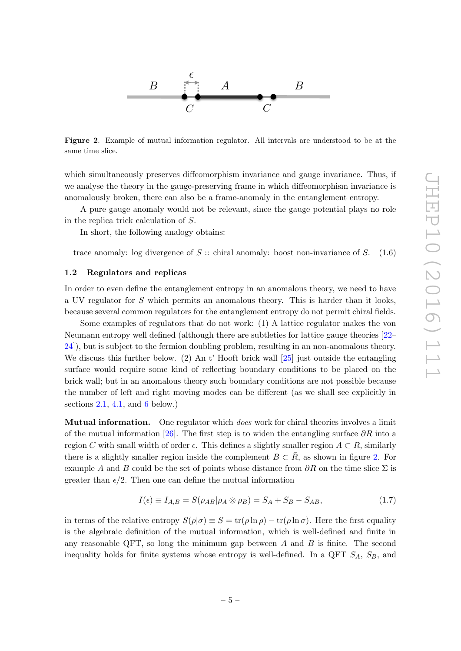

<span id="page-6-1"></span>Figure 2. Example of mutual information regulator. All intervals are understood to be at the same time slice.

which simultaneously preserves diffeomorphism invariance and gauge invariance. Thus, if we analyse the theory in the gauge-preserving frame in which diffeomorphism invariance is anomalously broken, there can also be a frame-anomaly in the entanglement entropy.

A pure gauge anomaly would not be relevant, since the gauge potential plays no role in the replica trick calculation of S.

In short, the following analogy obtains:

trace anomaly: log divergence of  $S$  :: chiral anomaly: boost non-invariance of  $S$ . (1.6)

#### <span id="page-6-0"></span>1.2 Regulators and replicas

In order to even define the entanglement entropy in an anomalous theory, we need to have a UV regulator for S which permits an anomalous theory. This is harder than it looks, because several common regulators for the entanglement entropy do not permit chiral fields.

Some examples of regulators that do not work: (1) A lattice regulator makes the von Neumann entropy well defined (although there are subtleties for lattice gauge theories [\[22–](#page-43-12) [24\]](#page-44-0)), but is subject to the fermion doubling problem, resulting in an non-anomalous theory. We discuss this further below.  $(2)$  An t' Hooft brick wall  $[25]$  just outside the entangling surface would require some kind of reflecting boundary conditions to be placed on the brick wall; but in an anomalous theory such boundary conditions are not possible because the number of left and right moving modes can be different (as we shall see explicitly in sections  $2.1$ ,  $4.1$ , and  $6$  below.)

**Mutual information.** One regulator which *does* work for chiral theories involves a limit of the mutual information [\[26\]](#page-44-2). The first step is to widen the entangling surface  $\partial R$  into a region C with small width of order  $\epsilon$ . This defines a slightly smaller region  $A \subset R$ , similarly there is a slightly smaller region inside the complement  $B \subset \overline{R}$ , as shown in figure [2.](#page-6-1) For example A and B could be the set of points whose distance from  $\partial R$  on the time slice  $\Sigma$  is greater than  $\epsilon/2$ . Then one can define the mutual information

$$
I(\epsilon) \equiv I_{A,B} = S(\rho_{AB}|\rho_A \otimes \rho_B) = S_A + S_B - S_{AB},\tag{1.7}
$$

in terms of the relative entropy  $S(\rho|\sigma) \equiv S = \text{tr}(\rho \ln \rho) - \text{tr}(\rho \ln \sigma)$ . Here the first equality is the algebraic definition of the mutual information, which is well-defined and finite in any reasonable QFT, so long the minimum gap between  $A$  and  $B$  is finite. The second inequality holds for finite systems whose entropy is well-defined. In a QFT  $S_A$ ,  $S_B$ , and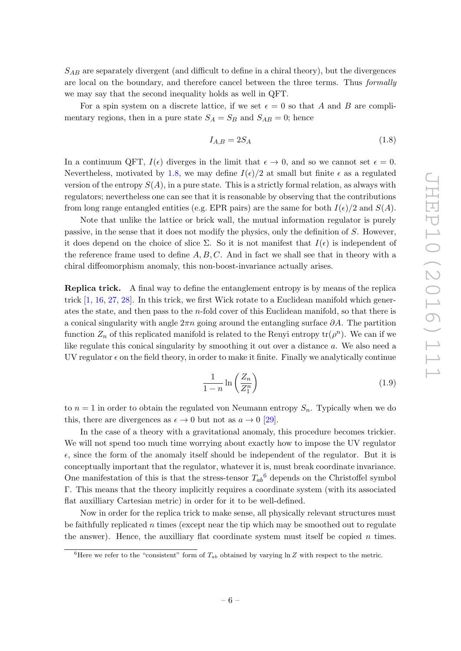$S_{AB}$  are separately divergent (and difficult to define in a chiral theory), but the divergences are local on the boundary, and therefore cancel between the three terms. Thus formally we may say that the second inequality holds as well in QFT.

For a spin system on a discrete lattice, if we set  $\epsilon = 0$  so that A and B are complimentary regions, then in a pure state  $S_A = S_B$  and  $S_{AB} = 0$ ; hence

<span id="page-7-0"></span>
$$
I_{A,B} = 2S_A \tag{1.8}
$$

In a continuum QFT,  $I(\epsilon)$  diverges in the limit that  $\epsilon \to 0$ , and so we cannot set  $\epsilon = 0$ . Nevertheless, motivated by [1.8,](#page-7-0) we may define  $I(\epsilon)/2$  at small but finite  $\epsilon$  as a regulated version of the entropy  $S(A)$ , in a pure state. This is a strictly formal relation, as always with regulators; nevertheless one can see that it is reasonable by observing that the contributions from long range entangled entities (e.g. EPR pairs) are the same for both  $I(\epsilon)/2$  and  $S(A)$ .

Note that unlike the lattice or brick wall, the mutual information regulator is purely passive, in the sense that it does not modify the physics, only the definition of S. However, it does depend on the choice of slice  $\Sigma$ . So it is not manifest that  $I(\epsilon)$  is independent of the reference frame used to define  $A, B, C$ . And in fact we shall see that in theory with a chiral diffeomorphism anomaly, this non-boost-invariance actually arises.

Replica trick. A final way to define the entanglement entropy is by means of the replica trick [\[1,](#page-42-0) [16,](#page-43-13) [27,](#page-44-3) [28\]](#page-44-4). In this trick, we first Wick rotate to a Euclidean manifold which generates the state, and then pass to the  $n$ -fold cover of this Euclidean manifold, so that there is a conical singularity with angle  $2\pi n$  going around the entangling surface  $\partial A$ . The partition function  $Z_n$  of this replicated manifold is related to the Renyi entropy  $\text{tr}(\rho^n)$ . We can if we like regulate this conical singularity by smoothing it out over a distance a. We also need a UV regulator  $\epsilon$  on the field theory, in order to make it finite. Finally we analytically continue

$$
\frac{1}{1-n}\ln\left(\frac{Z_n}{Z_1^n}\right) \tag{1.9}
$$

to  $n = 1$  in order to obtain the regulated von Neumann entropy  $S_n$ . Typically when we do this, there are divergences as  $\epsilon \to 0$  but not as  $a \to 0$  [\[29\]](#page-44-5).

In the case of a theory with a gravitational anomaly, this procedure becomes trickier. We will not spend too much time worrying about exactly how to impose the UV regulator  $\epsilon$ , since the form of the anomaly itself should be independent of the regulator. But it is conceptually important that the regulator, whatever it is, must break coordinate invariance. One manifestation of this is that the stress-tensor  $T_{ab}^6$  $T_{ab}^6$  depends on the Christoffel symbol Γ. This means that the theory implicitly requires a coordinate system (with its associated flat auxilliary Cartesian metric) in order for it to be well-defined.

Now in order for the replica trick to make sense, all physically relevant structures must be faithfully replicated n times (except near the tip which may be smoothed out to regulate the answer). Hence, the auxilliary flat coordinate system must itself be copied  $n$  times.

<span id="page-7-1"></span><sup>&</sup>lt;sup>6</sup>Here we refer to the "consistent" form of  $T_{ab}$  obtained by varying ln Z with respect to the metric.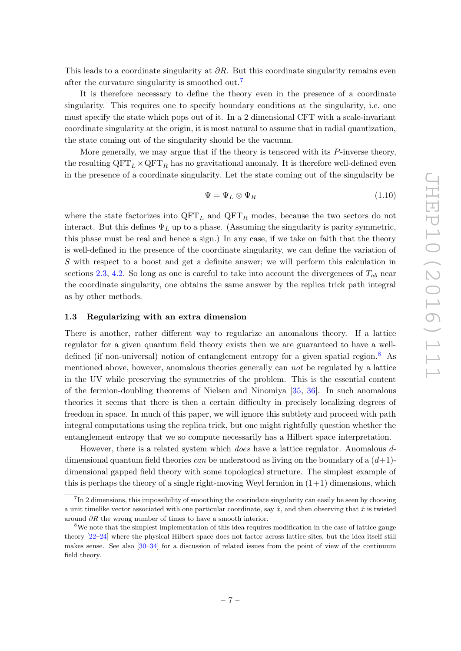This leads to a coordinate singularity at  $\partial R$ . But this coordinate singularity remains even after the curvature singularity is smoothed out.<sup>[7](#page-8-1)</sup>

It is therefore necessary to define the theory even in the presence of a coordinate singularity. This requires one to specify boundary conditions at the singularity, i.e. one must specify the state which pops out of it. In a 2 dimensional CFT with a scale-invariant coordinate singularity at the origin, it is most natural to assume that in radial quantization, the state coming out of the singularity should be the vacuum.

More generally, we may argue that if the theory is tensored with its  $P$ -inverse theory, the resulting  $\text{QFT}_L \times \text{QFT}_R$  has no gravitational anomaly. It is therefore well-defined even in the presence of a coordinate singularity. Let the state coming out of the singularity be

$$
\Psi = \Psi_L \otimes \Psi_R \tag{1.10}
$$

where the state factorizes into  $QFT_L$  and  $QFT_R$  modes, because the two sectors do not interact. But this defines  $\Psi_L$  up to a phase. (Assuming the singularity is parity symmetric, this phase must be real and hence a sign.) In any case, if we take on faith that the theory is well-defined in the presence of the coordinate singularity, we can define the variation of S with respect to a boost and get a definite answer; we will perform this calculation in sections [2.3,](#page-14-0) [4.2.](#page-24-0) So long as one is careful to take into account the divergences of  $T_{ab}$  near the coordinate singularity, one obtains the same answer by the replica trick path integral as by other methods.

## <span id="page-8-0"></span>1.3 Regularizing with an extra dimension

There is another, rather different way to regularize an anomalous theory. If a lattice regulator for a given quantum field theory exists then we are guaranteed to have a well-defined (if non-universal) notion of entanglement entropy for a given spatial region.<sup>[8](#page-8-2)</sup> As mentioned above, however, anomalous theories generally can not be regulated by a lattice in the UV while preserving the symmetries of the problem. This is the essential content of the fermion-doubling theorems of Nielsen and Ninomiya [\[35,](#page-44-6) [36\]](#page-44-7). In such anomalous theories it seems that there is then a certain difficulty in precisely localizing degrees of freedom in space. In much of this paper, we will ignore this subtlety and proceed with path integral computations using the replica trick, but one might rightfully question whether the entanglement entropy that we so compute necessarily has a Hilbert space interpretation.

However, there is a related system which does have a lattice regulator. Anomalous ddimensional quantum field theories can be understood as living on the boundary of a  $(d+1)$ dimensional gapped field theory with some topological structure. The simplest example of this is perhaps the theory of a single right-moving Weyl fermion in  $(1+1)$  dimensions, which

<span id="page-8-1"></span><sup>&</sup>lt;sup>7</sup>In 2 dimensions, this impossibility of smoothing the coorindate singularity can easily be seen by choosing a unit timelike vector associated with one particular coordinate, say  $\hat{x}$ , and then observing that  $\hat{x}$  is twisted around  $\partial R$  the wrong number of times to have a smooth interior.

<span id="page-8-2"></span><sup>&</sup>lt;sup>8</sup>We note that the simplest implementation of this idea requires modification in the case of lattice gauge theory [\[22](#page-43-12)[–24\]](#page-44-0) where the physical Hilbert space does not factor across lattice sites, but the idea itself still makes sense. See also [\[30–](#page-44-8)[34\]](#page-44-9) for a discussion of related issues from the point of view of the continuum field theory.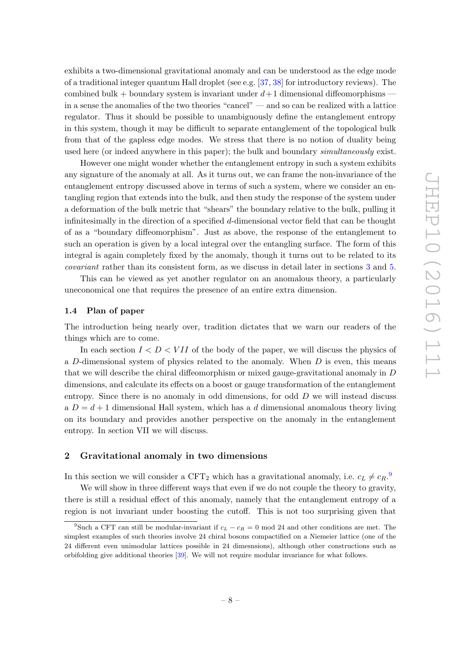exhibits a two-dimensional gravitational anomaly and can be understood as the edge mode of a traditional integer quantum Hall droplet (see e.g. [\[37,](#page-44-10) [38\]](#page-44-11) for introductory reviews). The combined bulk + boundary system is invariant under  $d+1$  dimensional diffeomorphisms – in a sense the anomalies of the two theories "cancel" — and so can be realized with a lattice regulator. Thus it should be possible to unambiguously define the entanglement entropy in this system, though it may be difficult to separate entanglement of the topological bulk from that of the gapless edge modes. We stress that there is no notion of duality being used here (or indeed anywhere in this paper); the bulk and boundary simultaneously exist.

However one might wonder whether the entanglement entropy in such a system exhibits any signature of the anomaly at all. As it turns out, we can frame the non-invariance of the entanglement entropy discussed above in terms of such a system, where we consider an entangling region that extends into the bulk, and then study the response of the system under a deformation of the bulk metric that "shears" the boundary relative to the bulk, pulling it infinitesimally in the direction of a specified d-dimensional vector field that can be thought of as a "boundary diffeomorphism". Just as above, the response of the entanglement to such an operation is given by a local integral over the entangling surface. The form of this integral is again completely fixed by the anomaly, though it turns out to be related to its covariant rather than its consistent form, as we discuss in detail later in sections [3](#page-16-0) and [5.](#page-29-1)

This can be viewed as yet another regulator on an anomalous theory, a particularly uneconomical one that requires the presence of an entire extra dimension.

# <span id="page-9-0"></span>1.4 Plan of paper

The introduction being nearly over, tradition dictates that we warn our readers of the things which are to come.

In each section  $I \leq D \leq VII$  of the body of the paper, we will discuss the physics of a D-dimensional system of physics related to the anomaly. When  $D$  is even, this means that we will describe the chiral diffeomorphism or mixed gauge-gravitational anomaly in D dimensions, and calculate its effects on a boost or gauge transformation of the entanglement entropy. Since there is no anomaly in odd dimensions, for odd  $D$  we will instead discuss  $a D = d + 1$  dimensional Hall system, which has a d dimensional anomalous theory living on its boundary and provides another perspective on the anomaly in the entanglement entropy. In section VII we will discuss.

# <span id="page-9-1"></span>2 Gravitational anomaly in two dimensions

In this section we will consider a CFT<sub>2</sub> which has a gravitational anomaly, i.e.  $c_L \neq c_R$ .<sup>[9](#page-9-2)</sup>

We will show in three different ways that even if we do not couple the theory to gravity, there is still a residual effect of this anomaly, namely that the entanglement entropy of a region is not invariant under boosting the cutoff. This is not too surprising given that

<span id="page-9-2"></span><sup>&</sup>lt;sup>9</sup>Such a CFT can still be modular-invariant if  $c_L - c_R = 0$  mod 24 and other conditions are met. The simplest examples of such theories involve 24 chiral bosons compactified on a Niemeier lattice (one of the 24 different even unimodular lattices possible in 24 dimesnsions), although other constructions such as orbifolding give additional theories [\[39\]](#page-44-12). We will not require modular invariance for what follows.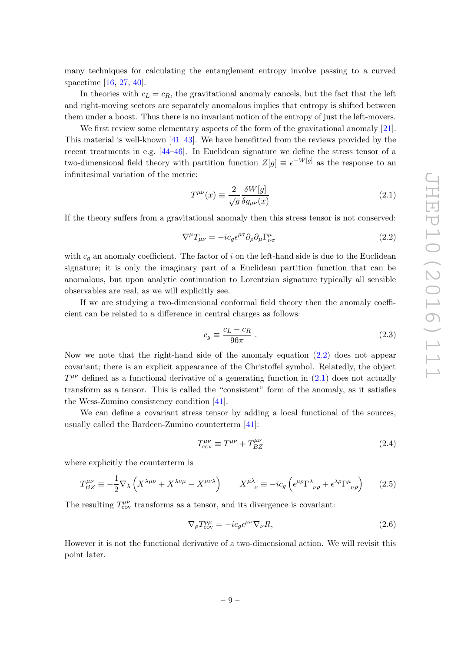many techniques for calculating the entanglement entropy involve passing to a curved spacetime [\[16,](#page-43-13) [27,](#page-44-3) [40\]](#page-44-13).

In theories with  $c_L = c_R$ , the gravitational anomaly cancels, but the fact that the left and right-moving sectors are separately anomalous implies that entropy is shifted between them under a boost. Thus there is no invariant notion of the entropy of just the left-movers.

We first review some elementary aspects of the form of the gravitational anomaly [\[21\]](#page-43-11). This material is well-known [\[41](#page-44-14)[–43\]](#page-45-0). We have benefitted from the reviews provided by the recent treatments in e.g. [\[44–](#page-45-1)[46\]](#page-45-2). In Euclidean signature we define the stress tensor of a two-dimensional field theory with partition function  $Z[g] \equiv e^{-W[g]}$  as the response to an infinitesimal variation of the metric:

<span id="page-10-1"></span>
$$
T^{\mu\nu}(x) \equiv \frac{2}{\sqrt{g}} \frac{\delta W[g]}{\delta g_{\mu\nu}(x)}\tag{2.1}
$$

If the theory suffers from a gravitational anomaly then this stress tensor is not conserved:

<span id="page-10-0"></span>
$$
\nabla^{\mu}T_{\mu\nu} = -ic_{g}\epsilon^{\rho\sigma}\partial_{\rho}\partial_{\mu}\Gamma^{\mu}_{\nu\sigma}
$$
\n(2.2)

with  $c<sub>g</sub>$  an anomaly coefficient. The factor of i on the left-hand side is due to the Euclidean signature; it is only the imaginary part of a Euclidean partition function that can be anomalous, but upon analytic continuation to Lorentzian signature typically all sensible observables are real, as we will explicitly see.

If we are studying a two-dimensional conformal field theory then the anomaly coefficient can be related to a difference in central charges as follows:

<span id="page-10-5"></span>
$$
c_g \equiv \frac{c_L - c_R}{96\pi} \tag{2.3}
$$

Now we note that the right-hand side of the anomaly equation  $(2.2)$  does not appear covariant; there is an explicit appearance of the Christoffel symbol. Relatedly, the object  $T^{\mu\nu}$  defined as a functional derivative of a generating function in  $(2.1)$  does not actually transform as a tensor. This is called the "consistent" form of the anomaly, as it satisfies the Wess-Zumino consistency condition [\[41\]](#page-44-14).

We can define a covariant stress tensor by adding a local functional of the sources, usually called the Bardeen-Zumino counterterm [\[41\]](#page-44-14):

<span id="page-10-2"></span>
$$
T_{\text{cov}}^{\mu\nu} \equiv T^{\mu\nu} + T_{BZ}^{\mu\nu} \tag{2.4}
$$

where explicitly the counterterm is

<span id="page-10-3"></span>
$$
T_{BZ}^{\mu\nu} \equiv -\frac{1}{2} \nabla_{\lambda} \left( X^{\lambda\mu\nu} + X^{\lambda\nu\mu} - X^{\mu\nu\lambda} \right) \qquad X^{\mu\lambda}_{\nu} \equiv -ic_g \left( \epsilon^{\mu\rho} \Gamma^{\lambda}_{\nu\rho} + \epsilon^{\lambda\rho} \Gamma^{\mu}_{\nu\rho} \right) \tag{2.5}
$$

The resulting  $T^{\mu\nu}_{\text{cov}}$  transforms as a tensor, and its divergence is covariant:

<span id="page-10-4"></span>
$$
\nabla_{\rho} T^{\rho \mu}_{\text{cov}} = -ic_g \epsilon^{\mu \nu} \nabla_{\nu} R,\tag{2.6}
$$

However it is not the functional derivative of a two-dimensional action. We will revisit this point later.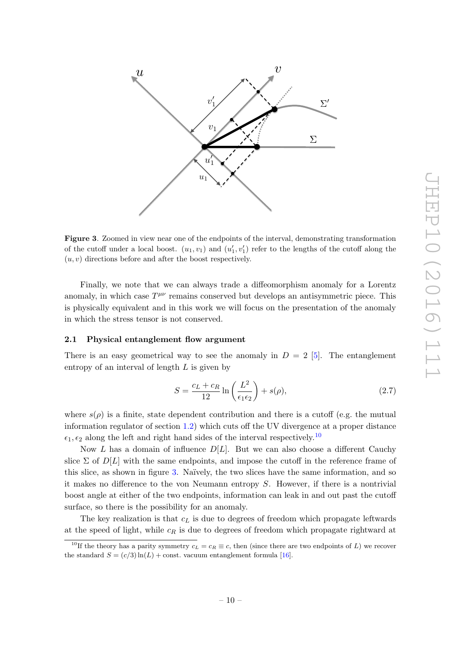

<span id="page-11-2"></span>Figure 3. Zoomed in view near one of the endpoints of the interval, demonstrating transformation of the cutoff under a local boost.  $(u_1, v_1)$  and  $(u'_1, v'_1)$  refer to the lengths of the cutoff along the  $(u, v)$  directions before and after the boost respectively.

Finally, we note that we can always trade a diffeomorphism anomaly for a Lorentz anomaly, in which case  $T^{\mu\nu}$  remains conserved but develops an antisymmetric piece. This is physically equivalent and in this work we will focus on the presentation of the anomaly in which the stress tensor is not conserved.

#### <span id="page-11-0"></span>2.1 Physical entanglement flow argument

There is an easy geometrical way to see the anomaly in  $D = 2$  [\[5\]](#page-43-1). The entanglement entropy of an interval of length  $L$  is given by

<span id="page-11-3"></span>
$$
S = \frac{c_L + c_R}{12} \ln\left(\frac{L^2}{\epsilon_1 \epsilon_2}\right) + s(\rho),\tag{2.7}
$$

where  $s(\rho)$  is a finite, state dependent contribution and there is a cutoff (e.g. the mutual information regulator of section [1.2\)](#page-6-0) which cuts off the UV divergence at a proper distance  $\epsilon_1, \epsilon_2$  along the left and right hand sides of the interval respectively.<sup>[10](#page-11-1)</sup>

Now L has a domain of influence  $D[L]$ . But we can also choose a different Cauchy slice  $\Sigma$  of  $D[L]$  with the same endpoints, and impose the cutoff in the reference frame of this slice, as shown in figure [3.](#page-11-2) Naïvely, the two slices have the same information, and so it makes no difference to the von Neumann entropy S. However, if there is a nontrivial boost angle at either of the two endpoints, information can leak in and out past the cutoff surface, so there is the possibility for an anomaly.

The key realization is that  $c<sub>L</sub>$  is due to degrees of freedom which propagate leftwards at the speed of light, while  $c_R$  is due to degrees of freedom which propagate rightward at

<span id="page-11-1"></span><sup>&</sup>lt;sup>10</sup>If the theory has a parity symmetry  $c_L = c_R \equiv c$ , then (since there are two endpoints of L) we recover the standard  $S = (c/3) \ln(L) + \text{const.}$  vacuum entanglement formula [\[16\]](#page-43-13).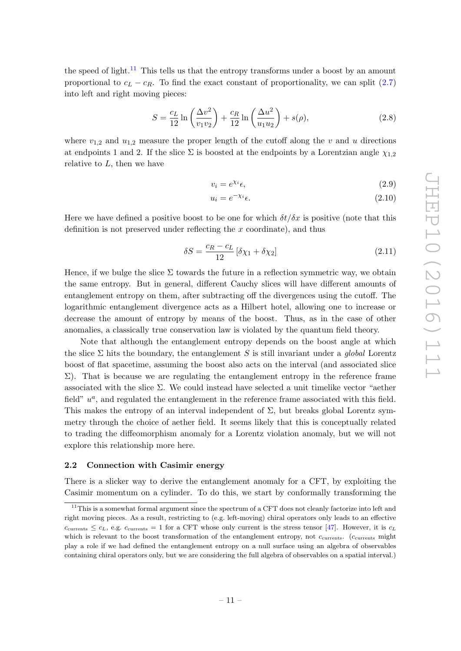the speed of light.<sup>[11](#page-12-1)</sup> This tells us that the entropy transforms under a boost by an amount proportional to  $c_L - c_R$ . To find the exact constant of proportionality, we can split [\(2.7\)](#page-11-3) into left and right moving pieces:

$$
S = \frac{c_L}{12} \ln \left( \frac{\Delta v^2}{v_1 v_2} \right) + \frac{c_R}{12} \ln \left( \frac{\Delta u^2}{u_1 u_2} \right) + s(\rho), \tag{2.8}
$$

where  $v_{1,2}$  and  $u_{1,2}$  measure the proper length of the cutoff along the v and u directions at endpoints 1 and 2. If the slice  $\Sigma$  is boosted at the endpoints by a Lorentzian angle  $\chi_{1,2}$ relative to  $L$ , then we have

$$
v_i = e^{\chi_i} \epsilon,\tag{2.9}
$$

$$
u_i = e^{-\chi_i} \epsilon. \tag{2.10}
$$

Here we have defined a positive boost to be one for which  $\delta t/\delta x$  is positive (note that this definition is not preserved under reflecting the  $x$  coordinate), and thus

<span id="page-12-2"></span>
$$
\delta S = \frac{c_R - c_L}{12} \left[ \delta \chi_1 + \delta \chi_2 \right] \tag{2.11}
$$

Hence, if we bulge the slice  $\Sigma$  towards the future in a reflection symmetric way, we obtain the same entropy. But in general, different Cauchy slices will have different amounts of entanglement entropy on them, after subtracting off the divergences using the cutoff. The logarithmic entanglement divergence acts as a Hilbert hotel, allowing one to increase or decrease the amount of entropy by means of the boost. Thus, as in the case of other anomalies, a classically true conservation law is violated by the quantum field theory.

Note that although the entanglement entropy depends on the boost angle at which the slice  $\Sigma$  hits the boundary, the entanglement S is still invariant under a global Lorentz boost of flat spacetime, assuming the boost also acts on the interval (and associated slice  $\Sigma$ ). That is because we are regulating the entanglement entropy in the reference frame associated with the slice Σ. We could instead have selected a unit timelike vector "aether field"  $u^a$ , and regulated the entanglement in the reference frame associated with this field. This makes the entropy of an interval independent of  $\Sigma$ , but breaks global Lorentz symmetry through the choice of aether field. It seems likely that this is conceptually related to trading the diffeomorphism anomaly for a Lorentz violation anomaly, but we will not explore this relationship more here.

#### <span id="page-12-0"></span>2.2 Connection with Casimir energy

There is a slicker way to derive the entanglement anomaly for a CFT, by exploiting the Casimir momentum on a cylinder. To do this, we start by conformally transforming the

<span id="page-12-1"></span> $11$ This is a somewhat formal argument since the spectrum of a CFT does not cleanly factorize into left and right moving pieces. As a result, restricting to (e.g. left-moving) chiral operators only leads to an effective  $c_{\text{currents}} \leq c_L$ , e.g.  $c_{\text{currents}} = 1$  for a CFT whose only current is the stress tensor [\[47\]](#page-45-3). However, it is  $c_L$ which is relevant to the boost transformation of the entanglement entropy, not  $c_{\text{currents}}$ . ( $c_{\text{currents}}$  might play a role if we had defined the entanglement entropy on a null surface using an algebra of observables containing chiral operators only, but we are considering the full algebra of observables on a spatial interval.)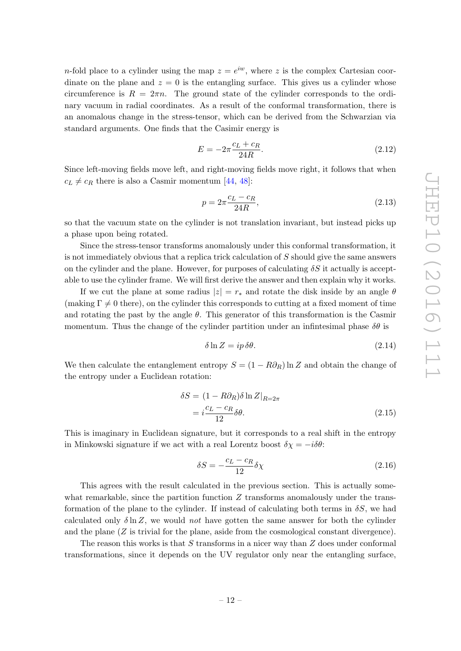*n*-fold place to a cylinder using the map  $z = e^{iw}$ , where z is the complex Cartesian coordinate on the plane and  $z = 0$  is the entangling surface. This gives us a cylinder whose circumference is  $R = 2\pi n$ . The ground state of the cylinder corresponds to the ordinary vacuum in radial coordinates. As a result of the conformal transformation, there is an anomalous change in the stress-tensor, which can be derived from the Schwarzian via standard arguments. One finds that the Casimir energy is

$$
E = -2\pi \frac{c_L + c_R}{24R}.
$$
\n(2.12)

Since left-moving fields move left, and right-moving fields move right, it follows that when  $c_L \neq c_R$  there is also a Casmir momentum [\[44,](#page-45-1) [48\]](#page-45-4):

$$
p = 2\pi \frac{c_L - c_R}{24R},
$$
\n(2.13)

so that the vacuum state on the cylinder is not translation invariant, but instead picks up a phase upon being rotated.

Since the stress-tensor transforms anomalously under this conformal transformation, it is not immediately obvious that a replica trick calculation of  $S$  should give the same answers on the cylinder and the plane. However, for purposes of calculating  $\delta S$  it actually is acceptable to use the cylinder frame. We will first derive the answer and then explain why it works.

If we cut the plane at some radius  $|z| = r_*$  and rotate the disk inside by an angle  $\theta$ (making  $\Gamma \neq 0$  there), on the cylinder this corresponds to cutting at a fixed moment of time and rotating the past by the angle  $\theta$ . This generator of this transformation is the Casmir momentum. Thus the change of the cylinder partition under an infinitesimal phase  $\delta\theta$  is

$$
\delta \ln Z = ip \,\delta\theta. \tag{2.14}
$$

We then calculate the entanglement entropy  $S = (1 - R\partial_R) \ln Z$  and obtain the change of the entropy under a Euclidean rotation:

$$
\delta S = (1 - R\partial_R)\delta \ln Z|_{R=2\pi}
$$
  
=  $i\frac{c_L - c_R}{12}\delta\theta$ . (2.15)

This is imaginary in Euclidean signature, but it corresponds to a real shift in the entropy in Minkowski signature if we act with a real Lorentz boost  $\delta \chi = -i \delta \theta$ :

$$
\delta S = -\frac{c_L - c_R}{12} \delta \chi \tag{2.16}
$$

This agrees with the result calculated in the previous section. This is actually somewhat remarkable, since the partition function  $Z$  transforms anomalously under the transformation of the plane to the cylinder. If instead of calculating both terms in  $\delta S$ , we had calculated only  $\delta \ln Z$ , we would not have gotten the same answer for both the cylinder and the plane  $(Z$  is trivial for the plane, aside from the cosmological constant divergence).

The reason this works is that  $S$  transforms in a nicer way than  $Z$  does under conformal transformations, since it depends on the UV regulator only near the entangling surface,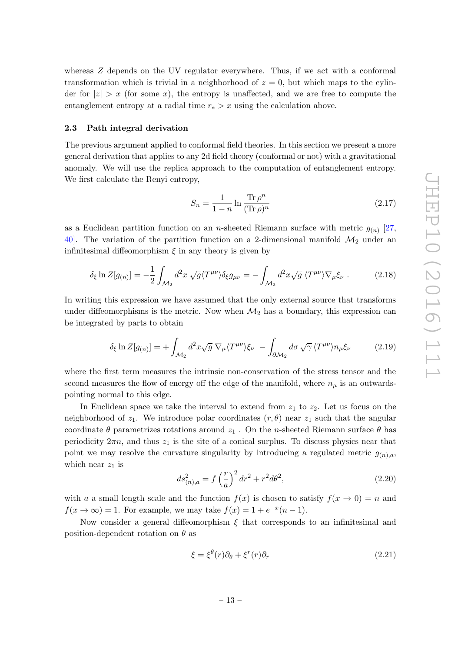whereas Z depends on the UV regulator everywhere. Thus, if we act with a conformal transformation which is trivial in a neighborhood of  $z = 0$ , but which maps to the cylinder for  $|z| > x$  (for some x), the entropy is unaffected, and we are free to compute the entanglement entropy at a radial time  $r_* > x$  using the calculation above.

#### <span id="page-14-0"></span>2.3 Path integral derivation

The previous argument applied to conformal field theories. In this section we present a more general derivation that applies to any 2d field theory (conformal or not) with a gravitational anomaly. We will use the replica approach to the computation of entanglement entropy. We first calculate the Renyi entropy,

<span id="page-14-3"></span>
$$
S_n = \frac{1}{1-n} \ln \frac{\text{Tr}\,\rho^n}{(\text{Tr}\,\rho)^n} \tag{2.17}
$$

as a Euclidean partition function on an *n*-sheeted Riemann surface with metric  $g_{(n)}$  [\[27,](#page-44-3) [40\]](#page-44-13). The variation of the partition function on a 2-dimensional manifold  $\mathcal{M}_2$  under an infinitesimal diffeomorphism  $\xi$  in any theory is given by

$$
\delta_{\xi} \ln Z[g_{(n)}] = -\frac{1}{2} \int_{\mathcal{M}_2} d^2 x \sqrt{g} \langle T^{\mu\nu} \rangle \delta_{\xi} g_{\mu\nu} = - \int_{\mathcal{M}_2} d^2 x \sqrt{g} \langle T^{\mu\nu} \rangle \nabla_{\mu} \xi_{\nu} . \tag{2.18}
$$

In writing this expression we have assumed that the only external source that transforms under diffeomorphisms is the metric. Now when  $\mathcal{M}_2$  has a boundary, this expression can be integrated by parts to obtain

<span id="page-14-2"></span>
$$
\delta_{\xi} \ln Z[g_{(n)}] = + \int_{\mathcal{M}_2} d^2 x \sqrt{g} \, \nabla_{\mu} \langle T^{\mu \nu} \rangle \xi_{\nu} - \int_{\partial \mathcal{M}_2} d\sigma \sqrt{\gamma} \, \langle T^{\mu \nu} \rangle n_{\mu} \xi_{\nu}
$$
 (2.19)

where the first term measures the intrinsic non-conservation of the stress tensor and the second measures the flow of energy off the edge of the manifold, where  $n_{\mu}$  is an outwardspointing normal to this edge.

In Euclidean space we take the interval to extend from  $z_1$  to  $z_2$ . Let us focus on the neighborhood of  $z_1$ . We introduce polar coordinates  $(r, \theta)$  near  $z_1$  such that the angular coordinate  $\theta$  parametrizes rotations around  $z_1$ . On the n-sheeted Riemann surface  $\theta$  has periodicity  $2\pi n$ , and thus  $z_1$  is the site of a conical surplus. To discuss physics near that point we may resolve the curvature singularity by introducing a regulated metric  $g_{(n),a}$ , which near  $z_1$  is

<span id="page-14-1"></span>
$$
ds_{(n),a}^2 = f\left(\frac{r}{a}\right)^2 dr^2 + r^2 d\theta^2,
$$
\n(2.20)

with a a small length scale and the function  $f(x)$  is chosen to satisfy  $f(x \to 0) = n$  and  $f(x \to \infty) = 1$ . For example, we may take  $f(x) = 1 + e^{-x}(n-1)$ .

Now consider a general diffeomorphism  $\xi$  that corresponds to an infinitesimal and position-dependent rotation on  $\theta$  as

$$
\xi = \xi^{\theta}(r)\partial_{\theta} + \xi^{r}(r)\partial_{r}
$$
\n(2.21)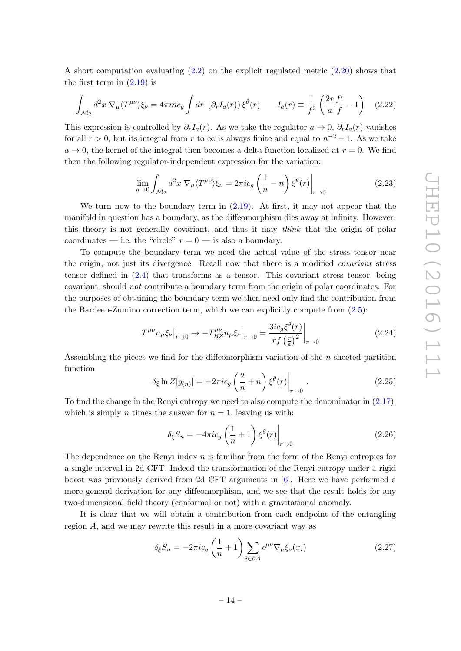A short computation evaluating [\(2.2\)](#page-10-0) on the explicit regulated metric [\(2.20\)](#page-14-1) shows that the first term in  $(2.19)$  is

<span id="page-15-2"></span>
$$
\int_{\mathcal{M}_2} d^2 x \, \nabla_{\mu} \langle T^{\mu \nu} \rangle \xi_{\nu} = 4 \pi i n c_g \int dr \, \left( \partial_r I_a(r) \right) \xi^{\theta}(r) \qquad I_a(r) \equiv \frac{1}{f^2} \left( \frac{2r}{a} \frac{f'}{f} - 1 \right) \quad (2.22)
$$

This expression is controlled by  $\partial_r I_a(r)$ . As we take the regulator  $a \to 0$ ,  $\partial_r I_a(r)$  vanishes for all  $r > 0$ , but its integral from r to  $\infty$  is always finite and equal to  $n^{-2} - 1$ . As we take  $a \rightarrow 0$ , the kernel of the integral then becomes a delta function localized at  $r = 0$ . We find then the following regulator-independent expression for the variation:

<span id="page-15-1"></span>
$$
\lim_{a \to 0} \int_{\mathcal{M}_2} d^2 x \, \nabla_{\mu} \langle T^{\mu \nu} \rangle \xi_{\nu} = 2 \pi i c_g \left( \frac{1}{n} - n \right) \xi^{\theta}(r) \bigg|_{r \to 0}
$$
\n(2.23)

We turn now to the boundary term in  $(2.19)$ . At first, it may not appear that the manifold in question has a boundary, as the diffeomorphism dies away at infinity. However, this theory is not generally covariant, and thus it may think that the origin of polar coordinates — i.e. the "circle"  $r = 0$  — is also a boundary.

To compute the boundary term we need the actual value of the stress tensor near the origin, not just its divergence. Recall now that there is a modified covariant stress tensor defined in [\(2.4\)](#page-10-2) that transforms as a tensor. This covariant stress tensor, being covariant, should not contribute a boundary term from the origin of polar coordinates. For the purposes of obtaining the boundary term we then need only find the contribution from the Bardeen-Zumino correction term, which we can explicitly compute from [\(2.5\)](#page-10-3):

<span id="page-15-0"></span>
$$
T^{\mu\nu}n_{\mu}\xi_{\nu}|_{r\to 0} \to -T^{\mu\nu}_{BZ}n_{\mu}\xi_{\nu}|_{r\to 0} = \frac{3ic_g\xi^{\theta}(r)}{rf\left(\frac{r}{a}\right)^2}\bigg|_{r\to 0}
$$
\n(2.24)

Assembling the pieces we find for the diffeomorphism variation of the n-sheeted partition function

$$
\delta_{\xi} \ln Z[g_{(n)}] = -2\pi i c_g \left(\frac{2}{n} + n\right) \xi^{\theta}(r) \Big|_{r \to 0} . \tag{2.25}
$$

To find the change in the Renyi entropy we need to also compute the denominator in [\(2.17\)](#page-14-3), which is simply *n* times the answer for  $n = 1$ , leaving us with:

$$
\delta_{\xi} S_n = -4\pi i c_g \left(\frac{1}{n} + 1\right) \xi^{\theta}(r) \Big|_{r \to 0} \tag{2.26}
$$

The dependence on the Renyi index  $n$  is familiar from the form of the Renyi entropies for a single interval in 2d CFT. Indeed the transformation of the Renyi entropy under a rigid boost was previously derived from 2d CFT arguments in [\[6\]](#page-43-2). Here we have performed a more general derivation for any diffeomorphism, and we see that the result holds for any two-dimensional field theory (conformal or not) with a gravitational anomaly.

It is clear that we will obtain a contribution from each endpoint of the entangling region A, and we may rewrite this result in a more covariant way as

$$
\delta_{\xi} S_n = -2\pi i c_g \left(\frac{1}{n} + 1\right) \sum_{i \in \partial A} \epsilon^{\mu\nu} \nabla_{\mu} \xi_{\nu}(x_i)
$$
\n(2.27)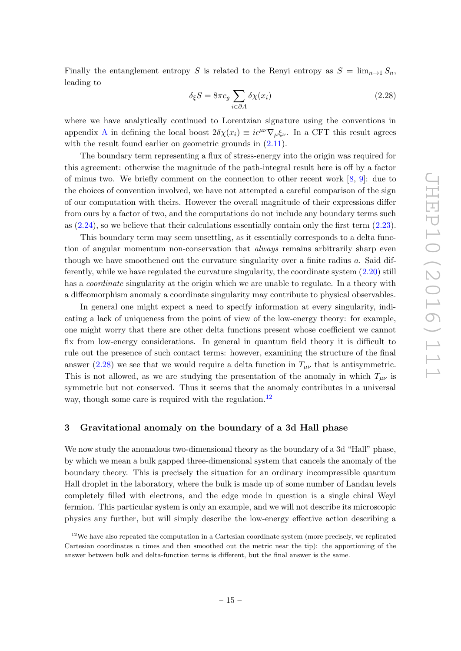Finally the entanglement entropy S is related to the Renyi entropy as  $S = \lim_{n\to 1} S_n$ , leading to

<span id="page-16-1"></span>
$$
\delta_{\xi} S = 8\pi c_g \sum_{i \in \partial A} \delta \chi(x_i)
$$
\n(2.28)

where we have analytically continued to Lorentzian signature using the conventions in appendix [A](#page-37-0) in defining the local boost  $2\delta\chi(x_i) \equiv i\epsilon^{\mu\nu}\nabla_{\mu}\xi_{\nu}$ . In a CFT this result agrees with the result found earlier on geometric grounds in  $(2.11)$ .

The boundary term representing a flux of stress-energy into the origin was required for this agreement: otherwise the magnitude of the path-integral result here is off by a factor of minus two. We briefly comment on the connection to other recent work [\[8,](#page-43-5) [9\]](#page-43-4): due to the choices of convention involved, we have not attempted a careful comparison of the sign of our computation with theirs. However the overall magnitude of their expressions differ from ours by a factor of two, and the computations do not include any boundary terms such as [\(2.24\)](#page-15-0), so we believe that their calculations essentially contain only the first term [\(2.23\)](#page-15-1).

This boundary term may seem unsettling, as it essentially corresponds to a delta function of angular momentum non-conservation that always remains arbitrarily sharp even though we have smoothened out the curvature singularity over a finite radius a. Said differently, while we have regulated the curvature singularity, the coordinate system [\(2.20\)](#page-14-1) still has a *coordinate* singularity at the origin which we are unable to regulate. In a theory with a diffeomorphism anomaly a coordinate singularity may contribute to physical observables.

In general one might expect a need to specify information at every singularity, indicating a lack of uniqueness from the point of view of the low-energy theory: for example, one might worry that there are other delta functions present whose coefficient we cannot fix from low-energy considerations. In general in quantum field theory it is difficult to rule out the presence of such contact terms: however, examining the structure of the final answer [\(2.28\)](#page-16-1) we see that we would require a delta function in  $T_{\mu\nu}$  that is antisymmetric. This is not allowed, as we are studying the presentation of the anomaly in which  $T_{\mu\nu}$  is symmetric but not conserved. Thus it seems that the anomaly contributes in a universal way, though some care is required with the regulation.<sup>[12](#page-16-2)</sup>

# <span id="page-16-0"></span>3 Gravitational anomaly on the boundary of a 3d Hall phase

We now study the anomalous two-dimensional theory as the boundary of a 3d "Hall" phase, by which we mean a bulk gapped three-dimensional system that cancels the anomaly of the boundary theory. This is precisely the situation for an ordinary incompressible quantum Hall droplet in the laboratory, where the bulk is made up of some number of Landau levels completely filled with electrons, and the edge mode in question is a single chiral Weyl fermion. This particular system is only an example, and we will not describe its microscopic physics any further, but will simply describe the low-energy effective action describing a

<span id="page-16-2"></span> $12$ We have also repeated the computation in a Cartesian coordinate system (more precisely, we replicated Cartesian coordinates  $n$  times and then smoothed out the metric near the tip): the apportioning of the answer between bulk and delta-function terms is different, but the final answer is the same.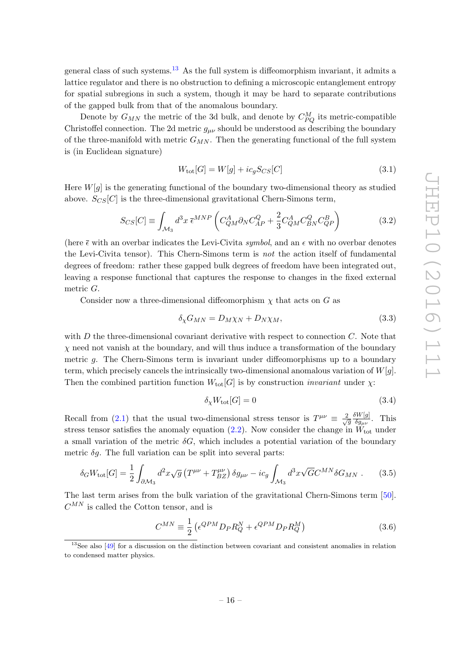general class of such systems.<sup>[13](#page-17-0)</sup> As the full system is diffeomorphism invariant, it admits a lattice regulator and there is no obstruction to defining a microscopic entanglement entropy for spatial subregions in such a system, though it may be hard to separate contributions of the gapped bulk from that of the anomalous boundary.

Denote by  $G_{MN}$  the metric of the 3d bulk, and denote by  $C_{PQ}^{M}$  its metric-compatible Christoffel connection. The 2d metric  $g_{\mu\nu}$  should be understood as describing the boundary of the three-manifold with metric  $G_{MN}$ . Then the generating functional of the full system is (in Euclidean signature)

<span id="page-17-4"></span>
$$
W_{\text{tot}}[G] = W[g] + ic_g S_{CS}[C] \tag{3.1}
$$

Here  $W[q]$  is the generating functional of the boundary two-dimensional theory as studied above.  $S_{CS}[C]$  is the three-dimensional gravitational Chern-Simons term,

$$
S_{CS}[C] \equiv \int_{\mathcal{M}_3} d^3x \,\bar{\epsilon}^{MNP} \left( C_{QM}^A \partial_N C_{AP}^Q + \frac{2}{3} C_{QM}^A C_{BN}^Q C_{QP}^B \right) \tag{3.2}
$$

(here  $\bar{\epsilon}$  with an overbar indicates the Levi-Civita *symbol*, and an  $\epsilon$  with no overbar denotes the Levi-Civita tensor). This Chern-Simons term is not the action itself of fundamental degrees of freedom: rather these gapped bulk degrees of freedom have been integrated out, leaving a response functional that captures the response to changes in the fixed external metric G.

Consider now a three-dimensional diffeomorphism  $\chi$  that acts on G as

$$
\delta_{\chi} G_{MN} = D_M \chi_N + D_N \chi_M, \tag{3.3}
$$

with  $D$  the three-dimensional covariant derivative with respect to connection  $C$ . Note that  $\chi$  need not vanish at the boundary, and will thus induce a transformation of the boundary metric g. The Chern-Simons term is invariant under diffeomorphisms up to a boundary term, which precisely cancels the intrinsically two-dimensional anomalous variation of  $W[q]$ . Then the combined partition function  $W_{\text{tot}}[G]$  is by construction *invariant* under  $\chi$ :

<span id="page-17-1"></span>
$$
\delta_{\chi} W_{\text{tot}}[G] = 0 \tag{3.4}
$$

Recall from [\(2.1\)](#page-10-1) that the usual two-dimensional stress tensor is  $T^{\mu\nu} \equiv \frac{2}{\sqrt{2}}$ g  $\delta W[g]$  $\frac{\partial W[g]}{\partial g_{\mu\nu}}$ . This stress tensor satisfies the anomaly equation [\(2.2\)](#page-10-0). Now consider the change in  $W_{\text{tot}}$  under a small variation of the metric  $\delta G$ , which includes a potential variation of the boundary metric  $\delta q$ . The full variation can be split into several parts:

<span id="page-17-2"></span>
$$
\delta_G W_{\text{tot}}[G] = \frac{1}{2} \int_{\partial \mathcal{M}_3} d^2 x \sqrt{g} \left( T^{\mu\nu} + T^{\mu\nu}_{BZ} \right) \delta g_{\mu\nu} - i c_g \int_{\mathcal{M}_3} d^3 x \sqrt{G} C^{MN} \delta G_{MN} . \tag{3.5}
$$

The last term arises from the bulk variation of the gravitational Chern-Simons term [\[50\]](#page-45-5).  $C^{MN}$  is called the Cotton tensor, and is

<span id="page-17-3"></span>
$$
C^{MN} \equiv \frac{1}{2} \left( \epsilon^{QPM} D_P R_Q^N + \epsilon^{QPM} D_P R_Q^M \right) \tag{3.6}
$$

<span id="page-17-0"></span><sup>&</sup>lt;sup>13</sup>See also [\[49\]](#page-45-6) for a discussion on the distinction between covariant and consistent anomalies in relation to condensed matter physics.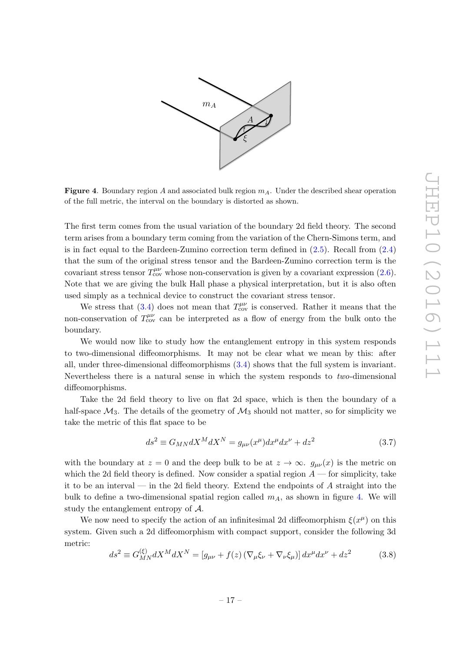

<span id="page-18-0"></span>**Figure 4.** Boundary region A and associated bulk region  $m_A$ . Under the described shear operation of the full metric, the interval on the boundary is distorted as shown.

The first term comes from the usual variation of the boundary 2d field theory. The second term arises from a boundary term coming from the variation of the Chern-Simons term, and is in fact equal to the Bardeen-Zumino correction term defined in  $(2.5)$ . Recall from  $(2.4)$ that the sum of the original stress tensor and the Bardeen-Zumino correction term is the covariant stress tensor  $T_{\text{cov}}^{\mu\nu}$  whose non-conservation is given by a covariant expression [\(2.6\)](#page-10-4). Note that we are giving the bulk Hall phase a physical interpretation, but it is also often used simply as a technical device to construct the covariant stress tensor.

We stress that [\(3.4\)](#page-17-1) does not mean that  $T_{\text{cov}}^{\mu\nu}$  is conserved. Rather it means that the non-conservation of  $T_{\text{cov}}^{\mu\nu}$  can be interpreted as a flow of energy from the bulk onto the boundary.

We would now like to study how the entanglement entropy in this system responds to two-dimensional diffeomorphisms. It may not be clear what we mean by this: after all, under three-dimensional diffeomorphisms [\(3.4\)](#page-17-1) shows that the full system is invariant. Nevertheless there is a natural sense in which the system responds to two-dimensional diffeomorphisms.

Take the 2d field theory to live on flat 2d space, which is then the boundary of a half-space  $\mathcal{M}_3$ . The details of the geometry of  $\mathcal{M}_3$  should not matter, so for simplicity we take the metric of this flat space to be

<span id="page-18-2"></span>
$$
ds^2 \equiv G_{MN}dX^M dX^N = g_{\mu\nu}(x^\mu)dx^\mu dx^\nu + dz^2 \tag{3.7}
$$

with the boundary at  $z = 0$  and the deep bulk to be at  $z \to \infty$ .  $g_{\mu\nu}(x)$  is the metric on which the 2d field theory is defined. Now consider a spatial region  $A$  — for simplicity, take it to be an interval — in the 2d field theory. Extend the endpoints of A straight into the bulk to define a two-dimensional spatial region called  $m<sub>A</sub>$ , as shown in figure [4.](#page-18-0) We will study the entanglement entropy of A.

We now need to specify the action of an infinitesimal 2d diffeomorphism  $\xi(x^{\mu})$  on this system. Given such a 2d diffeomorphism with compact support, consider the following 3d metric:

<span id="page-18-1"></span>
$$
ds^{2} \equiv G_{MN}^{(\xi)} dX^{M} dX^{N} = [g_{\mu\nu} + f(z) (\nabla_{\mu}\xi_{\nu} + \nabla_{\nu}\xi_{\mu})] dx^{\mu} dx^{\nu} + dz^{2}
$$
(3.8)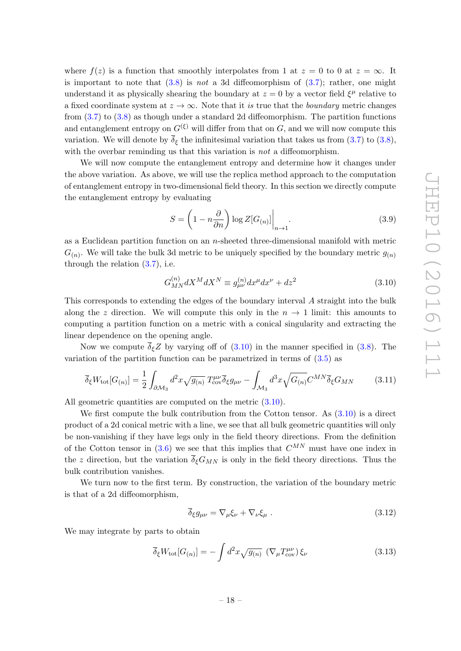where  $f(z)$  is a function that smoothly interpolates from 1 at  $z = 0$  to 0 at  $z = \infty$ . It is important to note that  $(3.8)$  is not a 3d diffeomorphism of  $(3.7)$ ; rather, one might understand it as physically shearing the boundary at  $z = 0$  by a vector field  $\xi^{\mu}$  relative to a fixed coordinate system at  $z \to \infty$ . Note that it is true that the *boundary* metric changes from [\(3.7\)](#page-18-2) to [\(3.8\)](#page-18-1) as though under a standard 2d diffeomorphism. The partition functions and entanglement entropy on  $G^{(\xi)}$  will differ from that on G, and we will now compute this variation. We will denote by  $\overline{\delta}_{\xi}$  the infinitesimal variation that takes us from [\(3.7\)](#page-18-2) to [\(3.8\)](#page-18-1), with the overbar reminding us that this variation is *not* a diffeomorphism.

We will now compute the entanglement entropy and determine how it changes under the above variation. As above, we will use the replica method approach to the computation of entanglement entropy in two-dimensional field theory. In this section we directly compute the entanglement entropy by evaluating

$$
S = \left(1 - n\frac{\partial}{\partial n}\right) \log Z[G_{(n)}]\Big|_{n \to 1}.
$$
\n(3.9)

as a Euclidean partition function on an n-sheeted three-dimensional manifold with metric  $G_{(n)}$ . We will take the bulk 3d metric to be uniquely specified by the boundary metric  $g_{(n)}$ through the relation  $(3.7)$ , i.e.

<span id="page-19-0"></span>
$$
G_{MN}^{(n)} dX^M dX^N \equiv g_{\mu\nu}^{(n)} dx^{\mu} dx^{\nu} + dz^2
$$
\n(3.10)

This corresponds to extending the edges of the boundary interval A straight into the bulk along the z direction. We will compute this only in the  $n \to 1$  limit: this amounts to computing a partition function on a metric with a conical singularity and extracting the linear dependence on the opening angle.

Now we compute  $\overline{\delta}_{\xi}Z$  by varying off of  $(3.10)$  in the manner specified in  $(3.8)$ . The variation of the partition function can be parametrized in terms of  $(3.5)$  as

<span id="page-19-1"></span>
$$
\overline{\delta}_{\xi}W_{\text{tot}}[G_{(n)}] = \frac{1}{2} \int_{\partial \mathcal{M}_3} d^2x \sqrt{g_{(n)}} T^{\mu\nu}_{\text{cov}} \overline{\delta}_{\xi} g_{\mu\nu} - \int_{\mathcal{M}_3} d^3x \sqrt{G_{(n)}} C^{MN} \overline{\delta}_{\xi} G_{MN} \tag{3.11}
$$

All geometric quantities are computed on the metric [\(3.10\)](#page-19-0).

We first compute the bulk contribution from the Cotton tensor. As [\(3.10\)](#page-19-0) is a direct product of a 2d conical metric with a line, we see that all bulk geometric quantities will only be non-vanishing if they have legs only in the field theory directions. From the definition of the Cotton tensor in  $(3.6)$  we see that this implies that  $C^{MN}$  must have one index in the z direction, but the variation  $\overline{\delta}_{\xi}G_{MN}$  is only in the field theory directions. Thus the bulk contribution vanishes.

We turn now to the first term. By construction, the variation of the boundary metric is that of a 2d diffeomorphism,

$$
\overline{\delta}_{\xi}g_{\mu\nu} = \nabla_{\mu}\xi_{\nu} + \nabla_{\nu}\xi_{\mu} . \qquad (3.12)
$$

We may integrate by parts to obtain

$$
\overline{\delta}_{\xi}W_{\text{tot}}[G_{(n)}] = -\int d^2x \sqrt{g_{(n)}} \left(\nabla_{\mu}T^{\mu\nu}_{\text{cov}}\right)\xi_{\nu} \tag{3.13}
$$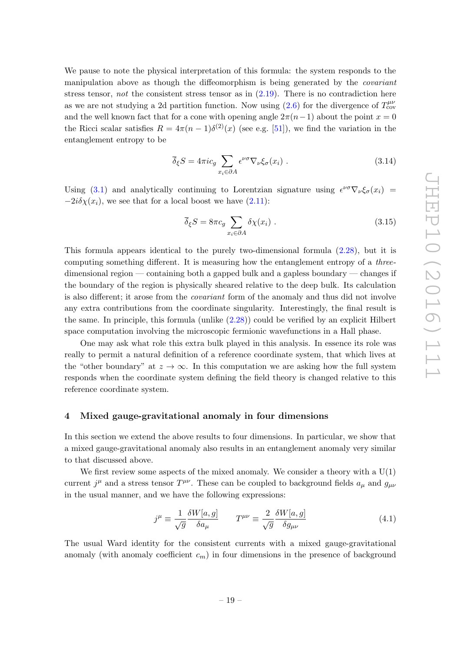We pause to note the physical interpretation of this formula: the system responds to the manipulation above as though the diffeomorphism is being generated by the covariant stress tensor, not the consistent stress tensor as in  $(2.19)$ . There is no contradiction here as we are not studying a 2d partition function. Now using  $(2.6)$  for the divergence of  $T_{\text{cov}}^{\mu\nu}$ and the well known fact that for a cone with opening angle  $2\pi(n-1)$  about the point  $x = 0$ the Ricci scalar satisfies  $R = 4\pi (n-1)\delta^{(2)}(x)$  (see e.g. [\[51\]](#page-45-7)), we find the variation in the entanglement entropy to be

$$
\overline{\delta}_{\xi} S = 4\pi i c_g \sum_{x_i \in \partial A} \epsilon^{\nu \sigma} \nabla_{\nu} \xi_{\sigma}(x_i) . \tag{3.14}
$$

Using [\(3.1\)](#page-17-4) and analytically continuing to Lorentzian signature using  $\epsilon^{\nu\sigma}\nabla_{\nu}\xi_{\sigma}(x_i)$  $-2i\delta\chi(x_i)$ , we see that for a local boost we have  $(2.11)$ :

$$
\overline{\delta}_{\xi} S = 8\pi c_g \sum_{x_i \in \partial A} \delta \chi(x_i) . \tag{3.15}
$$

This formula appears identical to the purely two-dimensional formula [\(2.28\)](#page-16-1), but it is computing something different. It is measuring how the entanglement entropy of a threedimensional region — containing both a gapped bulk and a gapless boundary — changes if the boundary of the region is physically sheared relative to the deep bulk. Its calculation is also different; it arose from the covariant form of the anomaly and thus did not involve any extra contributions from the coordinate singularity. Interestingly, the final result is the same. In principle, this formula (unlike [\(2.28\)](#page-16-1)) could be verified by an explicit Hilbert space computation involving the microscopic fermionic wavefunctions in a Hall phase.

One may ask what role this extra bulk played in this analysis. In essence its role was really to permit a natural definition of a reference coordinate system, that which lives at the "other boundary" at  $z \to \infty$ . In this computation we are asking how the full system responds when the coordinate system defining the field theory is changed relative to this reference coordinate system.

#### <span id="page-20-0"></span>4 Mixed gauge-gravitational anomaly in four dimensions

In this section we extend the above results to four dimensions. In particular, we show that a mixed gauge-gravitational anomaly also results in an entanglement anomaly very similar to that discussed above.

We first review some aspects of the mixed anomaly. We consider a theory with a  $U(1)$ current  $j^{\mu}$  and a stress tensor  $T^{\mu\nu}$ . These can be coupled to background fields  $a_{\mu}$  and  $g_{\mu\nu}$ in the usual manner, and we have the following expressions:

$$
j^{\mu} \equiv \frac{1}{\sqrt{g}} \frac{\delta W[a, g]}{\delta a_{\mu}} \qquad T^{\mu \nu} \equiv \frac{2}{\sqrt{g}} \frac{\delta W[a, g]}{\delta g_{\mu \nu}} \tag{4.1}
$$

The usual Ward identity for the consistent currents with a mixed gauge-gravitational anomaly (with anomaly coefficient  $c_m$ ) in four dimensions in the presence of background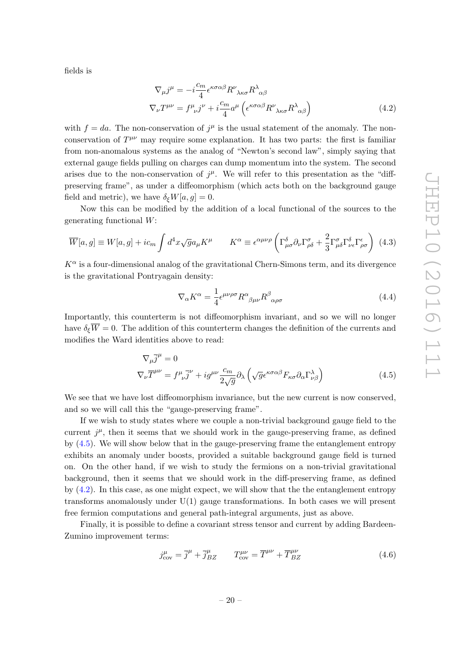fields is

<span id="page-21-1"></span>
$$
\nabla_{\mu}j^{\mu} = -i\frac{c_m}{4}\epsilon^{\kappa\sigma\alpha\beta}R^{\nu}_{\ \lambda\kappa\sigma}R^{\lambda}_{\ \alpha\beta}
$$
\n
$$
\nabla_{\nu}T^{\mu\nu} = f^{\mu}_{\ \nu}j^{\nu} + i\frac{c_m}{4}a^{\mu}\left(\epsilon^{\kappa\sigma\alpha\beta}R^{\nu}_{\ \lambda\kappa\sigma}R^{\lambda}_{\ \alpha\beta}\right)
$$
\n(4.2)

with  $f = da$ . The non-conservation of  $j^{\mu}$  is the usual statement of the anomaly. The nonconservation of  $T^{\mu\nu}$  may require some explanation. It has two parts: the first is familiar from non-anomalous systems as the analog of "Newton's second law", simply saying that external gauge fields pulling on charges can dump momentum into the system. The second arises due to the non-conservation of  $j^{\mu}$ . We will refer to this presentation as the "diffpreserving frame", as under a diffeomorphism (which acts both on the background gauge field and metric), we have  $\delta_{\xi}W[a, g] = 0$ .

Now this can be modified by the addition of a local functional of the sources to the generating functional W:

<span id="page-21-2"></span>
$$
\overline{W}[a,g] \equiv W[a,g] + i c_m \int d^4x \sqrt{g} a_\mu K^\mu \qquad K^\alpha \equiv \epsilon^{\alpha\mu\nu\rho} \left( \Gamma^\delta_{\mu\sigma} \partial_\nu \Gamma^\sigma_{\rho\delta} + \frac{2}{3} \Gamma^\sigma_{\mu\delta} \Gamma^\delta_{\nu\epsilon} \Gamma^\epsilon_{\rho\sigma} \right) (4.3)
$$

 $K^{\alpha}$  is a four-dimensional analog of the gravitational Chern-Simons term, and its divergence is the gravitational Pontryagain density:

<span id="page-21-0"></span>
$$
\nabla_{\alpha} K^{\alpha} = \frac{1}{4} \epsilon^{\mu\nu\rho\sigma} R^{\alpha}{}_{\beta\mu\nu} R^{\beta}{}_{\alpha\rho\sigma} \tag{4.4}
$$

Importantly, this counterterm is not diffeomorphism invariant, and so we will no longer have  $\delta_{\xi} \overline{W} = 0$ . The addition of this counterterm changes the definition of the currents and modifies the Ward identities above to read:

$$
\nabla_{\mu}\overline{j}^{\mu} = 0
$$
  
\n
$$
\nabla_{\nu}\overline{T}^{\mu\nu} = f^{\mu}_{\ \nu}\overline{j}^{\nu} + ig^{\mu\nu}\frac{c_m}{2\sqrt{g}}\partial_{\lambda}\left(\sqrt{g}\epsilon^{\kappa\sigma\alpha\beta}F_{\kappa\sigma}\partial_{\alpha}\Gamma^{\lambda}_{\nu\beta}\right)
$$
\n(4.5)

We see that we have lost diffeomorphism invariance, but the new current is now conserved, and so we will call this the "gauge-preserving frame".

If we wish to study states where we couple a non-trivial background gauge field to the current  $j^{\mu}$ , then it seems that we should work in the gauge-preserving frame, as defined by [\(4.5\)](#page-21-0). We will show below that in the gauge-preserving frame the entanglement entropy exhibits an anomaly under boosts, provided a suitable background gauge field is turned on. On the other hand, if we wish to study the fermions on a non-trivial gravitational background, then it seems that we should work in the diff-preserving frame, as defined by [\(4.2\)](#page-21-1). In this case, as one might expect, we will show that the the entanglement entropy transforms anomalously under  $U(1)$  gauge transformations. In both cases we will present free fermion computations and general path-integral arguments, just as above.

Finally, it is possible to define a covariant stress tensor and current by adding Bardeen-Zumino improvement terms:

$$
j_{\text{cov}}^{\mu} = \overline{j}^{\mu} + \overline{j}_{BZ}^{\mu} \qquad T_{\text{cov}}^{\mu\nu} = \overline{T}^{\mu\nu} + \overline{T}_{BZ}^{\mu\nu}
$$
(4.6)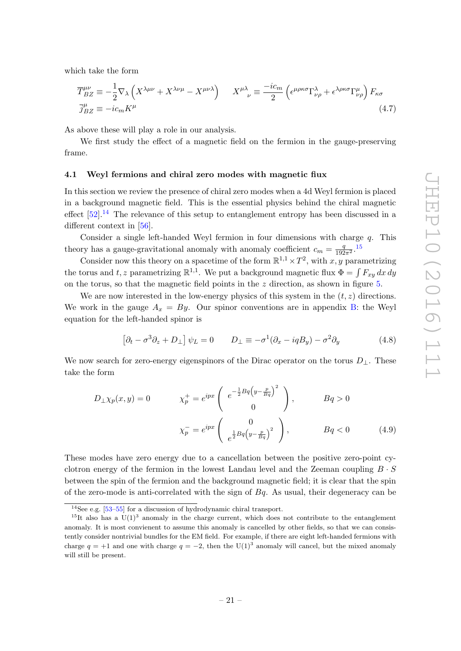which take the form

<span id="page-22-4"></span>
$$
\overline{T}_{BZ}^{\mu\nu} \equiv -\frac{1}{2} \nabla_{\lambda} \left( X^{\lambda\mu\nu} + X^{\lambda\nu\mu} - X^{\mu\nu\lambda} \right) \qquad X^{\mu\lambda}{}_{\nu} \equiv \frac{-ic_m}{2} \left( \epsilon^{\mu\rho\kappa\sigma} \Gamma^{\lambda}_{\nu\rho} + \epsilon^{\lambda\rho\kappa\sigma} \Gamma^{\mu}_{\nu\rho} \right) F_{\kappa\sigma}
$$
\n
$$
\overline{j}_{BZ}^{\mu} \equiv -ic_m K^{\mu} \qquad (4.7)
$$

As above these will play a role in our analysis.

We first study the effect of a magnetic field on the fermion in the gauge-preserving frame.

#### <span id="page-22-0"></span>4.1 Weyl fermions and chiral zero modes with magnetic fiux

In this section we review the presence of chiral zero modes when a 4d Weyl fermion is placed in a background magnetic field. This is the essential physics behind the chiral magnetic effect  $[52]$ .<sup>[14](#page-22-1)</sup> The relevance of this setup to entanglement entropy has been discussed in a different context in [\[56\]](#page-45-9).

Consider a single left-handed Weyl fermion in four dimensions with charge q. This theory has a gauge-gravitational anomaly with anomaly coefficient  $c_m = \frac{q}{192\pi^2}$ .<sup>[15](#page-22-2)</sup>

Consider now this theory on a spacetime of the form  $\mathbb{R}^{1,1} \times T^2$ , with x, y parametrizing the torus and t, z parametrizing  $\mathbb{R}^{1,1}$ . We put a background magnetic flux  $\Phi = \int F_{xy} dx dy$ on the torus, so that the magnetic field points in the  $z$  direction, as shown in figure [5.](#page-23-0)

We are now interested in the low-energy physics of this system in the  $(t, z)$  directions. We work in the gauge  $A_x = By$ . Our spinor conventions are in appendix [B:](#page-38-0) the Weyl equation for the left-handed spinor is

<span id="page-22-5"></span><span id="page-22-3"></span>
$$
\left[\partial_t - \sigma^3 \partial_z + D_\perp\right] \psi_L = 0 \qquad D_\perp \equiv -\sigma^1 (\partial_x - iqB_y) - \sigma^2 \partial_y \tag{4.8}
$$

We now search for zero-energy eigenspinors of the Dirac operator on the torus  $D_{\perp}$ . These take the form

$$
D_{\perp}\chi_p(x,y) = 0 \qquad \chi_p^+ = e^{ipx} \begin{pmatrix} e^{-\frac{1}{2}Bq\left(y - \frac{p}{Bq}\right)^2} \\ 0 \end{pmatrix}, \qquad Bq > 0
$$

$$
\chi_p^- = e^{ipx} \begin{pmatrix} 0 \\ e^{\frac{1}{2}Bq\left(y - \frac{p}{Bq}\right)^2} \end{pmatrix}, \qquad Bq < 0 \qquad (4.9)
$$

These modes have zero energy due to a cancellation between the positive zero-point cyclotron energy of the fermion in the lowest Landau level and the Zeeman coupling  $B \cdot S$ between the spin of the fermion and the background magnetic field; it is clear that the spin of the zero-mode is anti-correlated with the sign of  $Bq$ . As usual, their degeneracy can be

<span id="page-22-2"></span><span id="page-22-1"></span><sup>14</sup>See e.g. [\[53–](#page-45-10)[55\]](#page-45-11) for a discussion of hydrodynamic chiral transport.

 $15$ It also has a U(1)<sup>3</sup> anomaly in the charge current, which does not contribute to the entanglement anomaly. It is most convienent to assume this anomaly is cancelled by other fields, so that we can consistently consider nontrivial bundles for the EM field. For example, if there are eight left-handed fermions with charge  $q = +1$  and one with charge  $q = -2$ , then the U(1)<sup>3</sup> anomaly will cancel, but the mixed anomaly will still be present.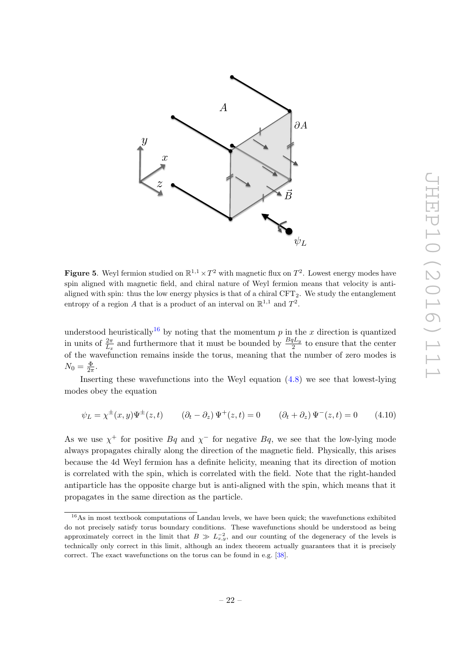

<span id="page-23-0"></span>**Figure 5.** Weyl fermion studied on  $\mathbb{R}^{1,1} \times T^2$  with magnetic flux on  $T^2$ . Lowest energy modes have spin aligned with magnetic field, and chiral nature of Weyl fermion means that velocity is antialigned with spin: thus the low energy physics is that of a chiral  $CFT<sub>2</sub>$ . We study the entanglement entropy of a region A that is a product of an interval on  $\mathbb{R}^{1,1}$  and  $T^2$ .

understood heuristically<sup>[16](#page-23-1)</sup> by noting that the momentum p in the x direction is quantized in units of  $\frac{2\pi}{L_x}$  and furthermore that it must be bounded by  $\frac{BqL_y}{2}$  to ensure that the center of the wavefunction remains inside the torus, meaning that the number of zero modes is  $N_0 = \frac{\Phi}{2\pi}$  $rac{\Phi}{2\pi}$ .

Inserting these wavefunctions into the Weyl equation [\(4.8\)](#page-22-3) we see that lowest-lying modes obey the equation

$$
\psi_L = \chi^{\pm}(x, y)\Psi^{\pm}(z, t) \qquad (\partial_t - \partial_z)\Psi^+(z, t) = 0 \qquad (\partial_t + \partial_z)\Psi^-(z, t) = 0 \qquad (4.10)
$$

As we use  $\chi^+$  for positive  $Bq$  and  $\chi^-$  for negative  $Bq$ , we see that the low-lying mode always propagates chirally along the direction of the magnetic field. Physically, this arises because the 4d Weyl fermion has a definite helicity, meaning that its direction of motion is correlated with the spin, which is correlated with the field. Note that the right-handed antiparticle has the opposite charge but is anti-aligned with the spin, which means that it propagates in the same direction as the particle.

<span id="page-23-1"></span><sup>&</sup>lt;sup>16</sup>As in most textbook computations of Landau levels, we have been quick; the wavefunctions exhibited do not precisely satisfy torus boundary conditions. These wavefunctions should be understood as being approximately correct in the limit that  $B \gg L_{x,y}^{-2}$ , and our counting of the degeneracy of the levels is technically only correct in this limit, although an index theorem actually guarantees that it is precisely correct. The exact wavefunctions on the torus can be found in e.g. [\[38\]](#page-44-11).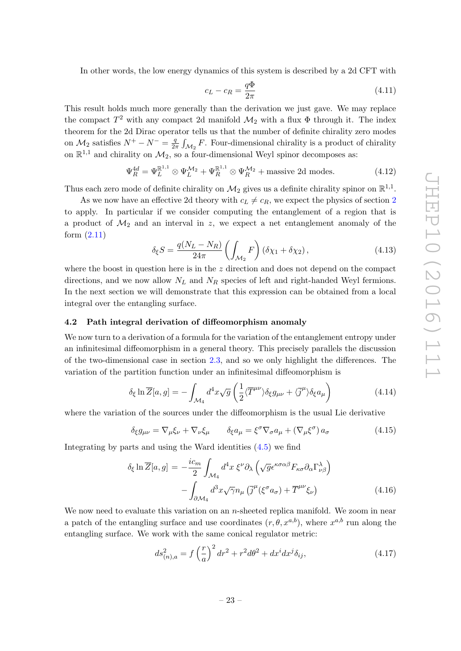In other words, the low energy dynamics of this system is described by a 2d CFT with

$$
c_L - c_R = \frac{q\Phi}{2\pi} \tag{4.11}
$$

This result holds much more generally than the derivation we just gave. We may replace the compact  $T^2$  with any compact 2d manifold  $\mathcal{M}_2$  with a flux  $\Phi$  through it. The index theorem for the 2d Dirac operator tells us that the number of definite chirality zero modes on  $\mathcal{M}_2$  satisfies  $N^+ - N^- = \frac{q}{2q}$  $\frac{q}{2\pi} \int_{\mathcal{M}_2} F$ . Four-dimensional chirality is a product of chirality on  $\mathbb{R}^{1,1}$  and chirality on  $\mathcal{M}_2$ , so a four-dimensional Weyl spinor decomposes as:

$$
\Psi_R^{4d} = \Psi_L^{\mathbb{R}^{1,1}} \otimes \Psi_L^{\mathcal{M}_2} + \Psi_R^{\mathbb{R}^{1,1}} \otimes \Psi_R^{\mathcal{M}_2} + \text{massive 2d modes.} \tag{4.12}
$$

Thus each zero mode of definite chirality on  $\mathcal{M}_2$  gives us a definite chirality spinor on  $\mathbb{R}^{1,1}$ .

As we now have an effective [2](#page-9-1)d theory with  $c_L \neq c_R$ , we expect the physics of section 2 to apply. In particular if we consider computing the entanglement of a region that is a product of  $\mathcal{M}_2$  and an interval in z, we expect a net entanglement anomaly of the form [\(2.11\)](#page-12-2)

<span id="page-24-1"></span>
$$
\delta_{\xi} S = \frac{q(N_L - N_R)}{24\pi} \left( \int_{\mathcal{M}_2} F \right) \left( \delta \chi_1 + \delta \chi_2 \right), \tag{4.13}
$$

where the boost in question here is in the  $z$  direction and does not depend on the compact directions, and we now allow  $N_L$  and  $N_R$  species of left and right-handed Weyl fermions. In the next section we will demonstrate that this expression can be obtained from a local integral over the entangling surface.

## <span id="page-24-0"></span>4.2 Path integral derivation of diffeomorphism anomaly

We now turn to a derivation of a formula for the variation of the entanglement entropy under an infinitesimal diffeomorphism in a general theory. This precisely parallels the discussion of the two-dimensional case in section [2.3,](#page-14-0) and so we only highlight the differences. The variation of the partition function under an infinitesimal diffeomorphism is

$$
\delta_{\xi} \ln \overline{Z}[a, g] = -\int_{\mathcal{M}_4} d^4 x \sqrt{g} \left( \frac{1}{2} \langle \overline{T}^{\mu\nu} \rangle \delta_{\xi} g_{\mu\nu} + \langle \overline{j}^{\mu} \rangle \delta_{\xi} a_{\mu} \right) \tag{4.14}
$$

where the variation of the sources under the diffeomorphism is the usual Lie derivative

$$
\delta_{\xi} g_{\mu\nu} = \nabla_{\mu} \xi_{\nu} + \nabla_{\nu} \xi_{\mu} \qquad \delta_{\xi} a_{\mu} = \xi^{\sigma} \nabla_{\sigma} a_{\mu} + (\nabla_{\mu} \xi^{\sigma}) a_{\sigma} \qquad (4.15)
$$

Integrating by parts and using the Ward identities [\(4.5\)](#page-21-0) we find

$$
\delta_{\xi} \ln \overline{Z}[a, g] = -\frac{i c_m}{2} \int_{\mathcal{M}_4} d^4 x \, \xi^{\nu} \partial_{\lambda} \left( \sqrt{g} \epsilon^{\kappa \sigma \alpha \beta} F_{\kappa \sigma} \partial_{\alpha} \Gamma^{\lambda}_{\nu \beta} \right) - \int_{\partial \mathcal{M}_4} d^3 x \sqrt{\gamma} n_{\mu} \left( \overline{j}^{\mu} (\xi^{\sigma} a_{\sigma}) + \overline{T}^{\mu \nu} \xi_{\nu} \right)
$$
(4.16)

We now need to evaluate this variation on an n-sheeted replica manifold. We zoom in near a patch of the entangling surface and use coordinates  $(r, \theta, x^{a,b})$ , where  $x^{a,b}$  run along the entangling surface. We work with the same conical regulator metric:

$$
ds_{(n),a}^2 = f\left(\frac{r}{a}\right)^2 dr^2 + r^2 d\theta^2 + dx^i dx^j \delta_{ij},
$$
\n(4.17)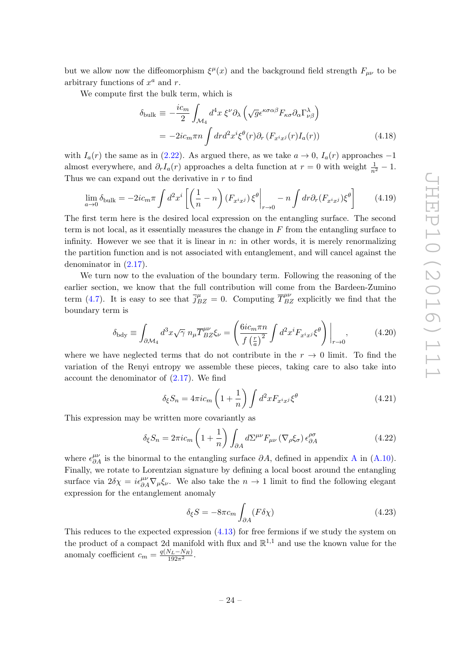but we allow now the diffeomorphism  $\xi^{\mu}(x)$  and the background field strength  $F_{\mu\nu}$  to be arbitrary functions of  $x^a$  and r.

We compute first the bulk term, which is

$$
\delta_{\text{bulk}} \equiv -\frac{ic_m}{2} \int_{\mathcal{M}_4} d^4 x \, \xi^{\nu} \partial_{\lambda} \left( \sqrt{g} \epsilon^{\kappa \sigma \alpha \beta} F_{\kappa \sigma} \partial_{\alpha} \Gamma^{\lambda}_{\nu \beta} \right)
$$

$$
= -2ic_m \pi n \int dr d^2 x^i \xi^{\theta}(r) \partial_r (F_{x^i x^j}(r) I_a(r)) \tag{4.18}
$$

with  $I_a(r)$  the same as in [\(2.22\)](#page-15-2). As argued there, as we take  $a \to 0$ ,  $I_a(r)$  approaches  $-1$ almost everywhere, and  $\partial_r I_a(r)$  approaches a delta function at  $r = 0$  with weight  $\frac{1}{n^2} - 1$ . Thus we can expand out the derivative in  $r$  to find

$$
\lim_{a \to 0} \delta_{\text{bulk}} = -2ic_m \pi \int d^2 x^i \left[ \left( \frac{1}{n} - n \right) (F_{x^i x^j}) \xi^{\theta} \bigg|_{r \to 0} - n \int dr \partial_r (F_{x^i x^j}) \xi^{\theta} \right] \tag{4.19}
$$

The first term here is the desired local expression on the entangling surface. The second term is not local, as it essentially measures the change in  $F$  from the entangling surface to infinity. However we see that it is linear in  $n:$  in other words, it is merely renormalizing the partition function and is not associated with entanglement, and will cancel against the denominator in [\(2.17\)](#page-14-3).

We turn now to the evaluation of the boundary term. Following the reasoning of the earlier section, we know that the full contribution will come from the Bardeen-Zumino term [\(4.7\)](#page-22-4). It is easy to see that  $\bar{j}_{BZ}^{\mu} = 0$ . Computing  $\bar{T}_{BZ}^{\mu\nu}$  explicitly we find that the boundary term is

$$
\delta_{\text{bdy}} \equiv \int_{\partial \mathcal{M}_4} d^3 x \sqrt{\gamma} \ n_{\mu} \overline{T}_{BZ}^{\mu \nu} \xi_{\nu} = \left( \frac{6 i c_m \pi n}{f \left(\frac{r}{a}\right)^2} \int d^2 x^i F_{x^i x^j} \xi^{\theta} \right) \Big|_{r \to 0},\tag{4.20}
$$

where we have neglected terms that do not contribute in the  $r \to 0$  limit. To find the variation of the Renyi entropy we assemble these pieces, taking care to also take into account the denominator of  $(2.17)$ . We find

$$
\delta_{\xi} S_n = 4\pi i c_m \left( 1 + \frac{1}{n} \right) \int d^2 x F_{x^i x^j} \xi^{\theta} \tag{4.21}
$$

This expression may be written more covariantly as

$$
\delta_{\xi} S_n = 2\pi i c_m \left( 1 + \frac{1}{n} \right) \int_{\partial A} d\Sigma^{\mu\nu} F_{\mu\nu} \left( \nabla_{\rho} \xi_{\sigma} \right) \epsilon^{\rho \sigma}_{\partial A} \tag{4.22}
$$

where  $\epsilon_{\partial A}^{\mu\nu}$  $\epsilon_{\partial A}^{\mu\nu}$  $\epsilon_{\partial A}^{\mu\nu}$  is the binormal to the entangling surface  $\partial A$ , defined in appendix A in [\(A.10\)](#page-38-1). Finally, we rotate to Lorentzian signature by defining a local boost around the entangling surface via  $2\delta\chi = i\epsilon_{\partial A}^{\mu\nu}\nabla_{\mu}\xi_{\nu}$ . We also take the  $n \to 1$  limit to find the following elegant expression for the entanglement anomaly

<span id="page-25-0"></span>
$$
\delta_{\xi} S = -8\pi c_m \int_{\partial A} (F \delta \chi) \tag{4.23}
$$

This reduces to the expected expression  $(4.13)$  for free fermions if we study the system on the product of a compact 2d manifold with flux and  $\mathbb{R}^{1,1}$  and use the known value for the anomaly coefficient  $c_m = \frac{q(N_L - N_R)}{192\pi^2}$ .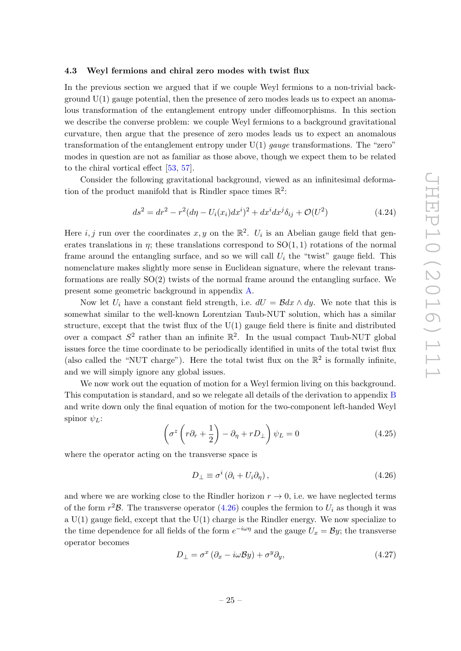#### <span id="page-26-0"></span>4.3 Weyl fermions and chiral zero modes with twist flux

In the previous section we argued that if we couple Weyl fermions to a non-trivial background  $U(1)$  gauge potential, then the presence of zero modes leads us to expect an anomalous transformation of the entanglement entropy under diffeomorphisms. In this section we describe the converse problem: we couple Weyl fermions to a background gravitational curvature, then argue that the presence of zero modes leads us to expect an anomalous transformation of the entanglement entropy under  $U(1)$  gauge transformations. The "zero" modes in question are not as familiar as those above, though we expect them to be related to the chiral vortical effect [\[53,](#page-45-10) [57\]](#page-45-12).

Consider the following gravitational background, viewed as an infinitesimal deformation of the product manifold that is Rindler space times  $\mathbb{R}^2$ :

$$
ds^{2} = dr^{2} - r^{2}(d\eta - U_{i}(x_{i})dx^{i})^{2} + dx^{i}dx^{j}\delta_{ij} + \mathcal{O}(U^{2})
$$
\n(4.24)

Here *i*, *j* run over the coordinates x, y on the  $\mathbb{R}^2$ .  $U_i$  is an Abelian gauge field that generates translations in  $\eta$ ; these translations correspond to  $SO(1,1)$  rotations of the normal frame around the entangling surface, and so we will call  $U_i$  the "twist" gauge field. This nomenclature makes slightly more sense in Euclidean signature, where the relevant transformations are really SO(2) twists of the normal frame around the entangling surface. We present some geometric background in appendix [A.](#page-37-0)

Now let  $U_i$  have a constant field strength, i.e.  $dU = \mathcal{B}dx \wedge dy$ . We note that this is somewhat similar to the well-known Lorentzian Taub-NUT solution, which has a similar structure, except that the twist flux of the U(1) gauge field there is finite and distributed over a compact  $S^2$  rather than an infinite  $\mathbb{R}^2$ . In the usual compact Taub-NUT global issues force the time coordinate to be periodically identified in units of the total twist flux (also called the "NUT charge"). Here the total twist flux on the  $\mathbb{R}^2$  is formally infinite, and we will simply ignore any global issues.

We now work out the equation of motion for a Weyl fermion living on this background. This computation is standard, and so we relegate all details of the derivation to appendix [B](#page-38-0) and write down only the final equation of motion for the two-component left-handed Weyl spinor  $\psi_L$ :

$$
\left(\sigma^z \left(r\partial_r + \frac{1}{2}\right) - \partial_\eta + rD_\perp\right) \psi_L = 0 \tag{4.25}
$$

where the operator acting on the transverse space is

<span id="page-26-1"></span>
$$
D_{\perp} \equiv \sigma^i \left( \partial_i + U_i \partial_\eta \right), \tag{4.26}
$$

and where we are working close to the Rindler horizon  $r \to 0$ , i.e. we have neglected terms of the form  $r^2\mathcal{B}$ . The transverse operator  $(4.26)$  couples the fermion to  $U_i$  as though it was a  $U(1)$  gauge field, except that the  $U(1)$  charge is the Rindler energy. We now specialize to the time dependence for all fields of the form  $e^{-i\omega\eta}$  and the gauge  $U_x = \mathcal{B}y$ ; the transverse operator becomes

$$
D_{\perp} = \sigma^x (\partial_x - i\omega \mathcal{B}y) + \sigma^y \partial_y, \tag{4.27}
$$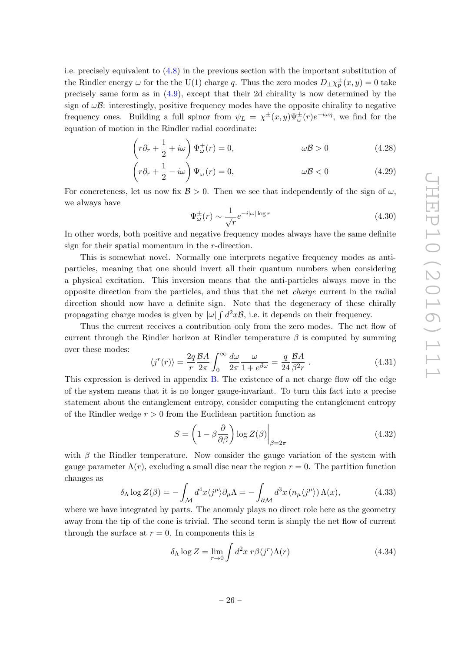i.e. precisely equivalent to [\(4.8\)](#page-22-3) in the previous section with the important substitution of the Rindler energy  $\omega$  for the the U(1) charge q. Thus the zero modes  $D_{\perp}\chi^{\pm}_p(x,y) = 0$  take precisely same form as in [\(4.9\)](#page-22-5), except that their 2d chirality is now determined by the sign of  $\omega\mathcal{B}$ : interestingly, positive frequency modes have the opposite chirality to negative frequency ones. Building a full spinor from  $\psi_L = \chi^{\pm}(x, y) \Psi^{\pm}_{\omega}(r) e^{-i\omega \eta}$ , we find for the equation of motion in the Rindler radial coordinate:

$$
\left(r\partial_r + \frac{1}{2} + i\omega\right)\Psi^+_{\omega}(r) = 0, \qquad \omega\mathcal{B} > 0 \qquad (4.28)
$$

$$
\left(r\partial_r + \frac{1}{2} - i\omega\right)\Psi_{\omega}^-(r) = 0, \qquad \omega\mathcal{B} < 0 \tag{4.29}
$$

For concreteness, let us now fix  $\mathcal{B} > 0$ . Then we see that independently of the sign of  $\omega$ , we always have

$$
\Psi_{\omega}^{\pm}(r) \sim \frac{1}{\sqrt{r}} e^{-i|\omega|\log r} \tag{4.30}
$$

In other words, both positive and negative frequency modes always have the same definite sign for their spatial momentum in the r-direction.

This is somewhat novel. Normally one interprets negative frequency modes as antiparticles, meaning that one should invert all their quantum numbers when considering a physical excitation. This inversion means that the anti-particles always move in the opposite direction from the particles, and thus that the net charge current in the radial direction should now have a definite sign. Note that the degeneracy of these chirally propagating charge modes is given by  $|\omega| \int d^2x \mathcal{B}$ , i.e. it depends on their frequency.

Thus the current receives a contribution only from the zero modes. The net flow of current through the Rindler horizon at Rindler temperature  $\beta$  is computed by summing over these modes:

<span id="page-27-0"></span>
$$
\langle j^{r}(r) \rangle = \frac{2q}{r} \frac{\mathcal{B}A}{2\pi} \int_{0}^{\infty} \frac{d\omega}{2\pi} \frac{\omega}{1 + e^{\beta \omega}} = \frac{q}{24} \frac{\mathcal{B}A}{\beta^{2}r} . \tag{4.31}
$$

This expression is derived in appendix [B.](#page-38-0) The existence of a net charge flow off the edge of the system means that it is no longer gauge-invariant. To turn this fact into a precise statement about the entanglement entropy, consider computing the entanglement entropy of the Rindler wedge  $r > 0$  from the Euclidean partition function as

<span id="page-27-1"></span>
$$
S = \left(1 - \beta \frac{\partial}{\partial \beta}\right) \log Z(\beta) \Big|_{\beta = 2\pi} \tag{4.32}
$$

with  $\beta$  the Rindler temperature. Now consider the gauge variation of the system with gauge parameter  $\Lambda(r)$ , excluding a small disc near the region  $r = 0$ . The partition function changes as

$$
\delta_{\Lambda} \log Z(\beta) = -\int_{\mathcal{M}} d^4 x \langle j^{\mu} \rangle \partial_{\mu} \Lambda = -\int_{\partial \mathcal{M}} d^3 x \left( n_{\mu} \langle j^{\mu} \rangle \right) \Lambda(x), \tag{4.33}
$$

where we have integrated by parts. The anomaly plays no direct role here as the geometry away from the tip of the cone is trivial. The second term is simply the net flow of current through the surface at  $r = 0$ . In components this is

$$
\delta_{\Lambda} \log Z = \lim_{r \to 0} \int d^2 x \ r \beta \langle j^r \rangle \Lambda(r) \tag{4.34}
$$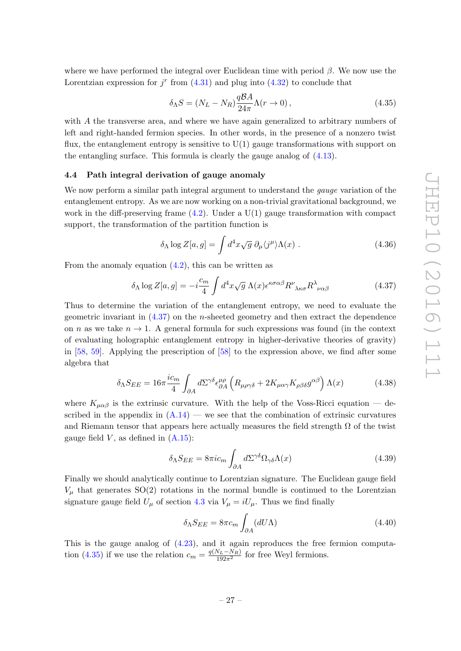where we have performed the integral over Euclidean time with period  $\beta$ . We now use the Lorentzian expression for  $j^r$  from  $(4.31)$  and plug into  $(4.32)$  to conclude that

<span id="page-28-2"></span>
$$
\delta_{\Lambda} S = (N_L - N_R) \frac{q \mathcal{B} A}{24\pi} \Lambda(r \to 0), \qquad (4.35)
$$

with A the transverse area, and where we have again generalized to arbitrary numbers of left and right-handed fermion species. In other words, in the presence of a nonzero twist flux, the entanglement entropy is sensitive to  $U(1)$  gauge transformations with support on the entangling surface. This formula is clearly the gauge analog of [\(4.13\)](#page-24-1).

#### <span id="page-28-0"></span>4.4 Path integral derivation of gauge anomaly

We now perform a similar path integral argument to understand the *gauge* variation of the entanglement entropy. As we are now working on a non-trivial gravitational background, we work in the diff-preserving frame  $(4.2)$ . Under a U(1) gauge transformation with compact support, the transformation of the partition function is

$$
\delta_{\Lambda} \log Z[a, g] = \int d^4 x \sqrt{g} \ \partial_{\mu} \langle j^{\mu} \rangle \Lambda(x) \ . \tag{4.36}
$$

From the anomaly equation  $(4.2)$ , this can be written as

<span id="page-28-1"></span>
$$
\delta_{\Lambda} \log Z[a, g] = -i\frac{c_m}{4} \int d^4x \sqrt{g} \,\Lambda(x) \epsilon^{\kappa \sigma \alpha \beta} R^{\nu}{}_{\lambda \kappa \sigma} R^{\lambda}{}_{\nu \alpha \beta} \tag{4.37}
$$

Thus to determine the variation of the entanglement entropy, we need to evaluate the geometric invariant in  $(4.37)$  on the *n*-sheeted geometry and then extract the dependence on n as we take  $n \to 1$ . A general formula for such expressions was found (in the context of evaluating holographic entanglement entropy in higher-derivative theories of gravity) in [\[58,](#page-45-13) [59\]](#page-45-14). Applying the prescription of [\[58\]](#page-45-13) to the expression above, we find after some algebra that

$$
\delta_{\Lambda} S_{EE} = 16\pi \frac{i c_m}{4} \int_{\partial A} d\Sigma^{\gamma\delta} \epsilon^{\mu\rho}_{\partial A} \left( R_{\mu\rho\gamma\delta} + 2K_{\mu\alpha\gamma} K_{\rho\beta\delta} g^{\alpha\beta} \right) \Lambda(x) \tag{4.38}
$$

where  $K_{\mu\alpha\beta}$  is the extrinsic curvature. With the help of the Voss-Ricci equation — described in the appendix in  $(A.14)$  — we see that the combination of extrinsic curvatures and Riemann tensor that appears here actually measures the field strength  $\Omega$  of the twist gauge field  $V$ , as defined in  $(A.15)$ :

$$
\delta_{\Lambda} S_{EE} = 8\pi i c_m \int_{\partial A} d\Sigma^{\gamma\delta} \Omega_{\gamma\delta} \Lambda(x) \tag{4.39}
$$

Finally we should analytically continue to Lorentzian signature. The Euclidean gauge field  $V_{\mu}$  that generates SO(2) rotations in the normal bundle is continued to the Lorentzian signature gauge field  $U_{\mu}$  of section [4.3](#page-26-0) via  $V_{\mu} = iU_{\mu}$ . Thus we find finally

<span id="page-28-3"></span>
$$
\delta_{\Lambda} S_{EE} = 8\pi c_m \int_{\partial A} (dU\Lambda) \tag{4.40}
$$

This is the gauge analog of [\(4.23\)](#page-25-0), and it again reproduces the free fermion computa-tion [\(4.35\)](#page-28-2) if we use the relation  $c_m = \frac{q(N_L - N_R)}{192\pi^2}$  for free Weyl fermions.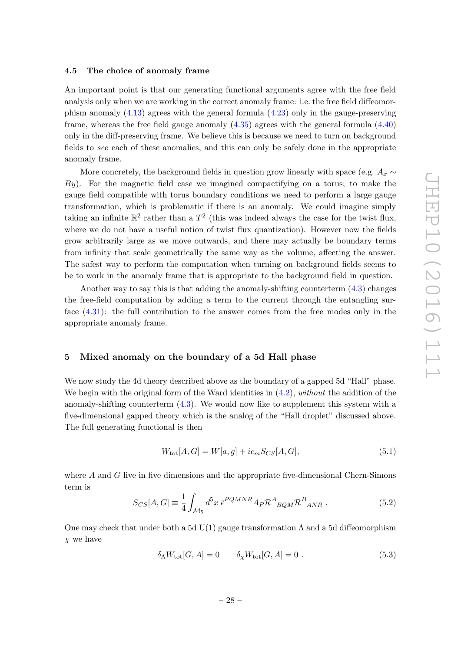# <span id="page-29-0"></span>4.5 The choice of anomaly frame

An important point is that our generating functional arguments agree with the free field analysis only when we are working in the correct anomaly frame: i.e. the free field diffeomorphism anomaly [\(4.13\)](#page-24-1) agrees with the general formula [\(4.23\)](#page-25-0) only in the gauge-preserving frame, whereas the free field gauge anomaly  $(4.35)$  agrees with the general formula  $(4.40)$ only in the diff-preserving frame. We believe this is because we need to turn on background fields to see each of these anomalies, and this can only be safely done in the appropriate anomaly frame.

More concretely, the background fields in question grow linearly with space (e.g.  $A_x \sim$  $By$ ). For the magnetic field case we imagined compactifying on a torus; to make the gauge field compatible with torus boundary conditions we need to perform a large gauge transformation, which is problematic if there is an anomaly. We could imagine simply taking an infinite  $\mathbb{R}^2$  rather than a  $T^2$  (this was indeed always the case for the twist flux, where we do not have a useful notion of twist flux quantization). However now the fields grow arbitrarily large as we move outwards, and there may actually be boundary terms from infinity that scale geometrically the same way as the volume, affecting the answer. The safest way to perform the computation when turning on background fields seems to be to work in the anomaly frame that is appropriate to the background field in question.

Another way to say this is that adding the anomaly-shifting counterterm [\(4.3\)](#page-21-2) changes the free-field computation by adding a term to the current through the entangling surface [\(4.31\)](#page-27-0): the full contribution to the answer comes from the free modes only in the appropriate anomaly frame.

# <span id="page-29-1"></span>5 Mixed anomaly on the boundary of a 5d Hall phase

We now study the 4d theory described above as the boundary of a gapped 5d "Hall" phase. We begin with the original form of the Ward identities in  $(4.2)$ , without the addition of the anomaly-shifting counterterm [\(4.3\)](#page-21-2). We would now like to supplement this system with a five-dimensional gapped theory which is the analog of the "Hall droplet" discussed above. The full generating functional is then

$$
W_{\text{tot}}[A, G] = W[a, g] + ic_m S_{CS}[A, G],
$$
\n(5.1)

where  $A$  and  $G$  live in five dimensions and the appropriate five-dimensional Chern-Simons term is

$$
S_{CS}[A,G] \equiv \frac{1}{4} \int_{\mathcal{M}_5} d^5 x \ \bar{\epsilon}^{PQMNR} A_P \mathcal{R}^A_{BQM} \mathcal{R}^B_{ANR} \ . \tag{5.2}
$$

One may check that under both a 5d  $U(1)$  gauge transformation  $\Lambda$  and a 5d diffeomorphism  $\chi$  we have

$$
\delta_{\Lambda} W_{\text{tot}}[G, A] = 0 \qquad \delta_{\chi} W_{\text{tot}}[G, A] = 0 \tag{5.3}
$$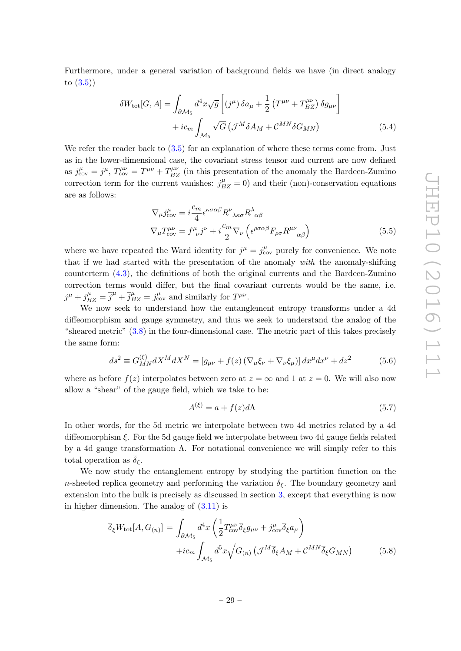Furthermore, under a general variation of background fields we have (in direct analogy to [\(3.5\)](#page-17-2))

$$
\delta W_{\text{tot}}[G, A] = \int_{\partial M_5} d^4x \sqrt{g} \left[ (j^{\mu}) \delta a_{\mu} + \frac{1}{2} \left( T^{\mu\nu} + T_{BZ}^{\mu\nu} \right) \delta g_{\mu\nu} \right] + ic_m \int_{\mathcal{M}_5} \sqrt{G} \left( \mathcal{J}^M \delta A_M + \mathcal{C}^{MN} \delta G_{MN} \right)
$$
(5.4)

We refer the reader back to  $(3.5)$  for an explanation of where these terms come from. Just as in the lower-dimensional case, the covariant stress tensor and current are now defined as  $j_{\text{cov}}^{\mu} = j^{\mu}$ ,  $T_{\text{cov}}^{\mu\nu} = T^{\mu\nu} + T_{BZ}^{\mu\nu}$  (in this presentation of the anomaly the Bardeen-Zumino correction term for the current vanishes:  $j_{BZ}^{\mu} = 0$  and their (non)-conservation equations are as follows:

<span id="page-30-1"></span>
$$
\nabla_{\mu} j_{\text{cov}}^{\mu} = i \frac{c_m}{4} \epsilon^{\kappa \sigma \alpha \beta} R^{\nu}{}_{\lambda \kappa \sigma} R^{\lambda}{}_{\alpha \beta} \n\nabla_{\mu} T_{\text{cov}}^{\mu \nu} = f^{\mu}{}_{\nu} j^{\nu} + i \frac{c_m}{2} \nabla_{\nu} \left( \epsilon^{\rho \sigma \alpha \beta} F_{\rho \sigma} R^{\mu \nu}{}_{\alpha \beta} \right)
$$
\n(5.5)

where we have repeated the Ward identity for  $j^{\mu} = j^{\mu}_{\text{cov}}$  purely for convenience. We note that if we had started with the presentation of the anomaly with the anomaly-shifting counterterm [\(4.3\)](#page-21-2), the definitions of both the original currents and the Bardeen-Zumino correction terms would differ, but the final covariant currents would be the same, i.e.  $j^{\mu} + j^{\mu}_{BZ} = \overline{j}^{\mu} + \overline{j}^{\mu}_{BZ} = j^{\mu}_{\text{cov}}$  and similarly for  $T^{\mu\nu}$ .

We now seek to understand how the entanglement entropy transforms under a 4d diffeomorphism and gauge symmetry, and thus we seek to understand the analog of the "sheared metric" [\(3.8\)](#page-18-1) in the four-dimensional case. The metric part of this takes precisely the same form:

$$
ds^{2} \equiv G_{MN}^{(\xi)} dX^{M} dX^{N} = [g_{\mu\nu} + f(z) (\nabla_{\mu}\xi_{\nu} + \nabla_{\nu}\xi_{\mu})] dx^{\mu} dx^{\nu} + dz^{2}
$$
(5.6)

where as before  $f(z)$  interpolates between zero at  $z = \infty$  and 1 at  $z = 0$ . We will also now allow a "shear" of the gauge field, which we take to be:

$$
A^{(\xi)} = a + f(z)d\Lambda
$$
\n(5.7)

In other words, for the 5d metric we interpolate between two 4d metrics related by a 4d diffeomorphism  $\xi$ . For the 5d gauge field we interpolate between two 4d gauge fields related by a 4d gauge transformation  $\Lambda$ . For notational convenience we will simply refer to this total operation as  $\overline{\delta}_{\xi}$ .

We now study the entanglement entropy by studying the partition function on the n-sheeted replica geometry and performing the variation  $\overline{\delta}_{\xi}$ . The boundary geometry and extension into the bulk is precisely as discussed in section [3,](#page-16-0) except that everything is now in higher dimension. The analog of  $(3.11)$  is

<span id="page-30-0"></span>
$$
\overline{\delta}_{\xi}W_{\text{tot}}[A, G_{(n)}] = \int_{\partial M_5} d^4x \left( \frac{1}{2} T^{\mu\nu}_{\text{cov}} \overline{\delta}_{\xi} g_{\mu\nu} + j^{\mu}_{\text{cov}} \overline{\delta}_{\xi} a_{\mu} \right) \n+ i c_m \int_{M_5} d^5x \sqrt{G_{(n)}} \left( \mathcal{J}^M \overline{\delta}_{\xi} A_M + \mathcal{C}^{MN} \overline{\delta}_{\xi} G_{MN} \right)
$$
\n(5.8)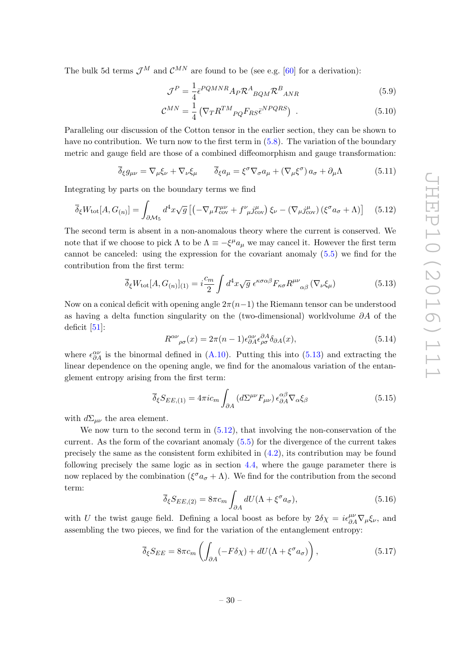The bulk 5d terms  $\mathcal{J}^M$  and  $\mathcal{C}^{MN}$  are found to be (see e.g. [\[60\]](#page-45-15) for a derivation):

$$
\mathcal{J}^P = \frac{1}{4} \epsilon^{PQMNR} A_P \mathcal{R}^A_{BQM} \mathcal{R}^B_{ANR}
$$
(5.9)

$$
\mathcal{C}^{MN} = \frac{1}{4} \left( \nabla_T R^{TM}{}_{PQ} F_{RS} \bar{\epsilon}^{NPQRS} \right) \tag{5.10}
$$

Paralleling our discussion of the Cotton tensor in the earlier section, they can be shown to have no contribution. We turn now to the first term in  $(5.8)$ . The variation of the boundary metric and gauge field are those of a combined diffeomorphism and gauge transformation:

$$
\overline{\delta}_{\xi}g_{\mu\nu} = \nabla_{\mu}\xi_{\nu} + \nabla_{\nu}\xi_{\mu} \qquad \overline{\delta}_{\xi}a_{\mu} = \xi^{\sigma}\nabla_{\sigma}a_{\mu} + (\nabla_{\mu}\xi^{\sigma})a_{\sigma} + \partial_{\mu}\Lambda \tag{5.11}
$$

Integrating by parts on the boundary terms we find

<span id="page-31-1"></span>
$$
\overline{\delta}_{\xi}W_{\text{tot}}[A,G_{(n)}] = \int_{\partial \mathcal{M}_5} d^4x \sqrt{g} \left[ \left( -\nabla_{\mu} T^{\mu\nu}_{\text{cov}} + f^{\nu}_{\mu} j^{\mu}_{\text{cov}} \right) \xi_{\nu} - \left( \nabla_{\mu} j^{\mu}_{\text{cov}} \right) \left( \xi^{\sigma} a_{\sigma} + \Lambda \right) \right] \tag{5.12}
$$

The second term is absent in a non-anomalous theory where the current is conserved. We note that if we choose to pick  $\Lambda$  to be  $\Lambda \equiv -\xi^{\mu}a_{\mu}$  we may cancel it. However the first term cannot be canceled: using the expression for the covariant anomaly [\(5.5\)](#page-30-1) we find for the contribution from the first term:

<span id="page-31-0"></span>
$$
\overline{\delta}_{\xi}W_{\text{tot}}[A, G_{(n)}]_{(1)} = i\frac{c_m}{2} \int d^4x \sqrt{g} \epsilon^{\kappa\sigma\alpha\beta} F_{\kappa\sigma} R^{\mu\nu}_{\alpha\beta} (\nabla_{\nu}\xi_{\mu})
$$
(5.13)

Now on a conical deficit with opening angle  $2\pi(n-1)$  the Riemann tensor can be understood as having a delta function singularity on the (two-dimensional) worldvolume  $\partial A$  of the deficit  $[51]$ :

$$
R^{\alpha\nu}{}_{\rho\sigma}(x) = 2\pi (n-1)\epsilon^{\alpha\nu}_{\partial A}\epsilon^{\partial A}_{\rho\sigma}\delta_{\partial A}(x),\tag{5.14}
$$

where  $\epsilon_{\partial A}^{\alpha\nu}$  is the binormal defined in [\(A.10\)](#page-38-1). Putting this into [\(5.13\)](#page-31-0) and extracting the linear dependence on the opening angle, we find for the anomalous variation of the entanglement entropy arising from the first term:

$$
\overline{\delta}_{\xi} S_{EE,(1)} = 4\pi i c_m \int_{\partial A} \left( d\Sigma^{\mu\nu} F_{\mu\nu} \right) \epsilon^{\alpha\beta}_{\partial A} \nabla_{\alpha} \xi_{\beta} \tag{5.15}
$$

with  $d\Sigma_{\mu\nu}$  the area element.

We now turn to the second term in  $(5.12)$ , that involving the non-conservation of the current. As the form of the covariant anomaly [\(5.5\)](#page-30-1) for the divergence of the current takes precisely the same as the consistent form exhibited in  $(4.2)$ , its contribution may be found following precisely the same logic as in section [4.4,](#page-28-0) where the gauge parameter there is now replaced by the combination  $(\xi^{\sigma} a_{\sigma} + \Lambda)$ . We find for the contribution from the second term:

$$
\overline{\delta}_{\xi} S_{EE,(2)} = 8\pi c_m \int_{\partial A} dU (\Lambda + \xi^{\sigma} a_{\sigma}), \qquad (5.16)
$$

with U the twist gauge field. Defining a local boost as before by  $2\delta\chi = i\epsilon_{\partial A}^{\mu\nu}\nabla_{\mu}\xi_{\nu}$ , and assembling the two pieces, we find for the variation of the entanglement entropy:

$$
\overline{\delta}_{\xi} S_{EE} = 8\pi c_m \left( \int_{\partial A} (-F \delta \chi) + dU(\Lambda + \xi^{\sigma} a_{\sigma}) \right), \tag{5.17}
$$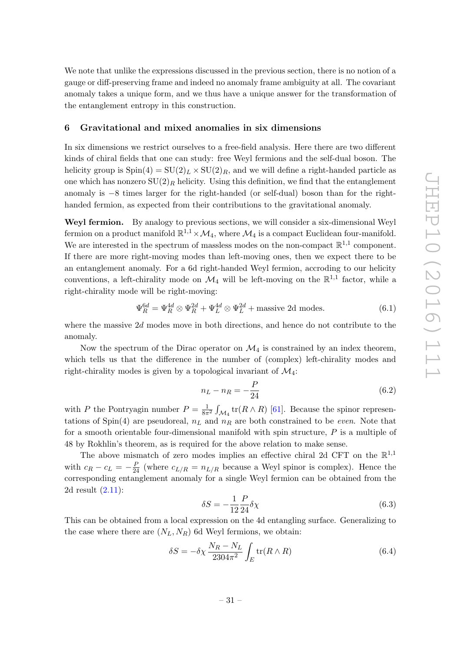We note that unlike the expressions discussed in the previous section, there is no notion of a gauge or diff-preserving frame and indeed no anomaly frame ambiguity at all. The covariant anomaly takes a unique form, and we thus have a unique answer for the transformation of the entanglement entropy in this construction.

## <span id="page-32-0"></span>6 Gravitational and mixed anomalies in six dimensions

In six dimensions we restrict ourselves to a free-field analysis. Here there are two different kinds of chiral fields that one can study: free Weyl fermions and the self-dual boson. The helicity group is  $Spin(4) = SU(2)<sub>L</sub> \times SU(2)<sub>R</sub>$ , and we will define a right-handed particle as one which has nonzero  $SU(2)_R$  helicity. Using this definition, we find that the entanglement anomaly is −8 times larger for the right-handed (or self-dual) boson than for the righthanded fermion, as expected from their contributions to the gravitational anomaly.

Weyl fermion. By analogy to previous sections, we will consider a six-dimensional Weyl fermion on a product manifold  $\mathbb{R}^{1,1} \times \mathcal{M}_4$ , where  $\mathcal{M}_4$  is a compact Euclidean four-manifold. We are interested in the spectrum of massless modes on the non-compact  $\mathbb{R}^{1,1}$  component. If there are more right-moving modes than left-moving ones, then we expect there to be an entanglement anomaly. For a 6d right-handed Weyl fermion, accroding to our helicity conventions, a left-chirality mode on  $\mathcal{M}_4$  will be left-moving on the  $\mathbb{R}^{1,1}$  factor, while a right-chirality mode will be right-moving:

<span id="page-32-2"></span>
$$
\Psi_R^{6d} = \Psi_R^{4d} \otimes \Psi_R^{2d} + \Psi_L^{4d} \otimes \Psi_L^{2d} + \text{massive 2d modes.} \tag{6.1}
$$

where the massive  $2d$  modes move in both directions, and hence do not contribute to the anomaly.

Now the spectrum of the Dirac operator on  $\mathcal{M}_4$  is constrained by an index theorem, which tells us that the difference in the number of (complex) left-chirality modes and right-chirality modes is given by a topological invariant of  $\mathcal{M}_4$ :

$$
n_L - n_R = -\frac{P}{24}
$$
 (6.2)

with P the Pontryagin number  $P = \frac{1}{8\pi^2} \int_{\mathcal{M}_4} tr(R \wedge R)$  [\[61\]](#page-45-16). Because the spinor representations of Spin(4) are pseudoreal,  $n<sub>L</sub>$  and  $n<sub>R</sub>$  are both constrained to be *even*. Note that for a smooth orientable four-dimensional manifold with spin structure,  $P$  is a multiple of 48 by Rokhlin's theorem, as is required for the above relation to make sense.

The above mismatch of zero modes implies an effective chiral 2d CFT on the  $\mathbb{R}^{1,1}$ with  $c_R - c_L = -\frac{P}{24}$  (where  $c_{L/R} = n_{L/R}$  because a Weyl spinor is complex). Hence the corresponding entanglement anomaly for a single Weyl fermion can be obtained from the 2d result [\(2.11\)](#page-12-2):

$$
\delta S = -\frac{1}{12} \frac{P}{24} \delta \chi \tag{6.3}
$$

This can be obtained from a local expression on the 4d entangling surface. Generalizing to the case where there are  $(N_L, N_R)$  6d Weyl fermions, we obtain:

<span id="page-32-1"></span>
$$
\delta S = -\delta \chi \frac{N_R - N_L}{2304\pi^2} \int_E \text{tr}(R \wedge R) \tag{6.4}
$$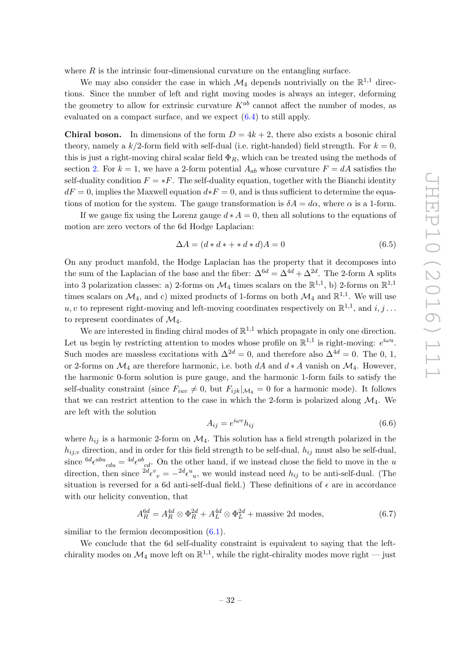where  $R$  is the intrinsic four-dimensional curvature on the entangling surface.

We may also consider the case in which  $\mathcal{M}_4$  depends nontrivially on the  $\mathbb{R}^{1,1}$  directions. Since the number of left and right moving modes is always an integer, deforming the geometry to allow for extrinsic curvature  $K^{ab}$  cannot affect the number of modes, as evaluated on a compact surface, and we expect [\(6.4\)](#page-32-1) to still apply.

**Chiral boson.** In dimensions of the form  $D = 4k + 2$ , there also exists a bosonic chiral theory, namely a  $k/2$ -form field with self-dual (i.e. right-handed) field strength. For  $k = 0$ , this is just a right-moving chiral scalar field  $\Phi_R$ , which can be treated using the methods of section [2.](#page-9-1) For  $k = 1$ , we have a 2-form potential  $A_{ab}$  whose curvature  $F = dA$  satisfies the self-duality condition  $F = *F$ . The self-duality equation, together with the Bianchi identity  $dF = 0$ , implies the Maxwell equation  $d * F = 0$ , and is thus sufficient to determine the equations of motion for the system. The gauge transformation is  $\delta A = d\alpha$ , where  $\alpha$  is a 1-form.

If we gauge fix using the Lorenz gauge  $d * A = 0$ , then all solutions to the equations of motion are zero vectors of the 6d Hodge Laplacian:

$$
\Delta A = (d * d * + * d * d)A = 0 \tag{6.5}
$$

On any product manfold, the Hodge Laplacian has the property that it decomposes into the sum of the Laplacian of the base and the fiber:  $\Delta^{6d} = \Delta^{4d} + \Delta^{2d}$ . The 2-form A splits into 3 polarization classes: a) 2-forms on  $\mathcal{M}_4$  times scalars on the  $\mathbb{R}^{1,1}$ , b) 2-forms on  $\mathbb{R}^{1,1}$ times scalars on  $\mathcal{M}_4$ , and c) mixed products of 1-forms on both  $\mathcal{M}_4$  and  $\mathbb{R}^{1,1}$ . We will use  $u, v$  to represent right-moving and left-moving coordinates respectively on  $\mathbb{R}^{1,1}$ , and  $i, j \ldots$ to represent coordinates of  $\mathcal{M}_4$ .

We are interested in finding chiral modes of  $\mathbb{R}^{1,1}$  which propagate in only one direction. Let us begin by restricting attention to modes whose profile on  $\mathbb{R}^{1,1}$  is right-moving:  $e^{i\omega u}$ . Such modes are massless excitations with  $\Delta^{2d} = 0$ , and therefore also  $\Delta^{4d} = 0$ . The 0, 1, or 2-forms on  $\mathcal{M}_4$  are therefore harmonic, i.e. both dA and  $d * A$  vanish on  $\mathcal{M}_4$ . However, the harmonic 0-form solution is pure gauge, and the harmonic 1-form fails to satisfy the self-duality constraint (since  $F_{iuv} \neq 0$ , but  $F_{ijk}|_{\mathcal{M}_4} = 0$  for a harmonic mode). It follows that we can restrict attention to the case in which the 2-form is polarized along  $\mathcal{M}_4$ . We are left with the solution

$$
A_{ij} = e^{i\omega v} h_{ij} \tag{6.6}
$$

where  $h_{ij}$  is a harmonic 2-form on  $\mathcal{M}_4$ . This solution has a field strength polarized in the  $h_{ij,v}$  direction, and in order for this field strength to be self-dual,  $h_{ij}$  must also be self-dual, since  $^{6d}\epsilon^{abu}{}_{cdu} = {}^{4d}\epsilon^{ab}{}_{cd}$ . On the other hand, if we instead chose the field to move in the u direction, then since  $^{2d}\epsilon^v{}_v = -^{2d}\epsilon^u{}_u$ , we would instead need  $h_{ij}$  to be anti-self-dual. (The situation is reversed for a 6d anti-self-dual field.) These definitions of  $\epsilon$  are in accordance with our helicity convention, that

$$
A_R^{6d} = A_R^{4d} \otimes \Phi_R^{2d} + A_L^{4d} \otimes \Phi_L^{2d} + \text{massive 2d modes},\tag{6.7}
$$

similiar to the fermion decomposition  $(6.1)$ .

We conclude that the 6d self-duality constraint is equivalent to saying that the leftchirality modes on  $\mathcal{M}_4$  move left on  $\mathbb{R}^{1,1}$ , while the right-chirality modes move right — just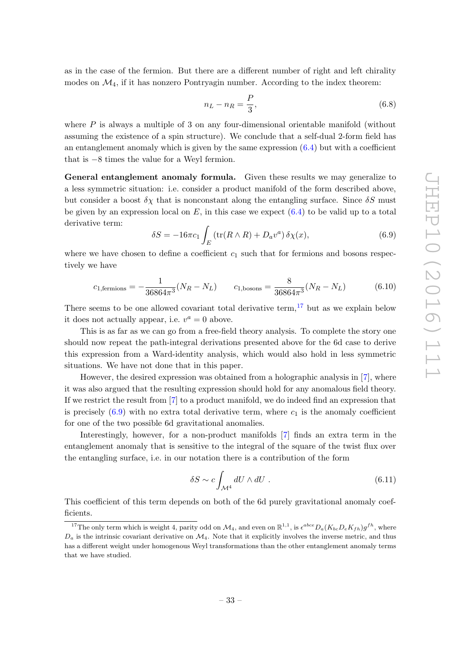as in the case of the fermion. But there are a different number of right and left chirality modes on  $\mathcal{M}_4$ , if it has nonzero Pontryagin number. According to the index theorem:

$$
n_L - n_R = \frac{P}{3},\tag{6.8}
$$

where  $P$  is always a multiple of 3 on any four-dimensional orientable manifold (without assuming the existence of a spin structure). We conclude that a self-dual 2-form field has an entanglement anomaly which is given by the same expression  $(6.4)$  but with a coefficient that is −8 times the value for a Weyl fermion.

General entanglement anomaly formula. Given these results we may generalize to a less symmetric situation: i.e. consider a product manifold of the form described above, but consider a boost  $\delta \chi$  that is nonconstant along the entangling surface. Since  $\delta S$  must be given by an expression local on  $E$ , in this case we expect  $(6.4)$  to be valid up to a total derivative term:

<span id="page-34-1"></span>
$$
\delta S = -16\pi c_1 \int_E \left( \text{tr}(R \wedge R) + D_a v^a \right) \delta \chi(x),\tag{6.9}
$$

where we have chosen to define a coefficient  $c_1$  such that for fermions and bosons respectively we have

$$
c_{1, \text{fermions}} = -\frac{1}{36864\pi^3} (N_R - N_L) \qquad c_{1, \text{bosons}} = \frac{8}{36864\pi^3} (N_R - N_L) \tag{6.10}
$$

There seems to be one allowed covariant total derivative term, $17$  but as we explain below it does not actually appear, i.e.  $v^a = 0$  above.

This is as far as we can go from a free-field theory analysis. To complete the story one should now repeat the path-integral derivations presented above for the 6d case to derive this expression from a Ward-identity analysis, which would also hold in less symmetric situations. We have not done that in this paper.

However, the desired expression was obtained from a holographic analysis in [\[7\]](#page-43-3), where it was also argued that the resulting expression should hold for any anomalous field theory. If we restrict the result from [\[7\]](#page-43-3) to a product manifold, we do indeed find an expression that is precisely  $(6.9)$  with no extra total derivative term, where  $c_1$  is the anomaly coefficient for one of the two possible 6d gravitational anomalies.

Interestingly, however, for a non-product manifolds [\[7\]](#page-43-3) finds an extra term in the entanglement anomaly that is sensitive to the integral of the square of the twist flux over the entangling surface, i.e. in our notation there is a contribution of the form

<span id="page-34-2"></span>
$$
\delta S \sim c \int_{\mathcal{M}^4} dU \wedge dU \ . \tag{6.11}
$$

This coefficient of this term depends on both of the 6d purely gravitational anomaly coefficients.

<span id="page-34-0"></span><sup>&</sup>lt;sup>17</sup>The only term which is weight 4, parity odd on  $\mathcal{M}_4$ , and even on  $\mathbb{R}^{1,1}$ , is  $\epsilon^{abce}D_a(K_{bc}D_eK_{fh})g^{fh}$ , where  $D_a$  is the intrinsic covariant derivative on  $\mathcal{M}_4$ . Note that it explicitly involves the inverse metric, and thus has a different weight under homogenous Weyl transformations than the other entanglement anomaly terms that we have studied.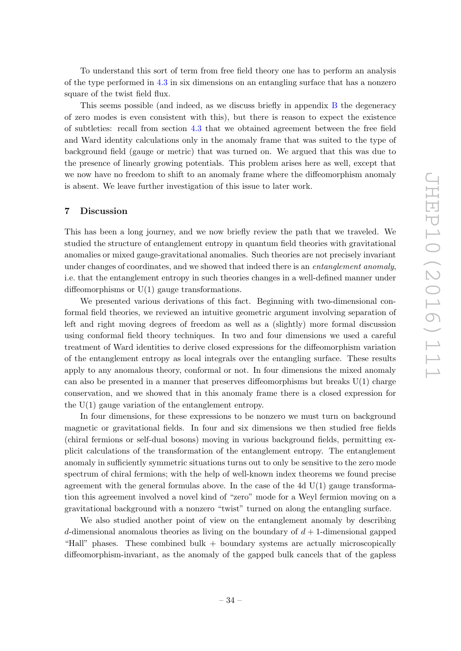To understand this sort of term from free field theory one has to perform an analysis of the type performed in [4.3](#page-26-0) in six dimensions on an entangling surface that has a nonzero square of the twist field flux.

This seems possible (and indeed, as we discuss briefly in appendix [B](#page-38-0) the degeneracy of zero modes is even consistent with this), but there is reason to expect the existence of subtleties: recall from section [4.3](#page-26-0) that we obtained agreement between the free field and Ward identity calculations only in the anomaly frame that was suited to the type of background field (gauge or metric) that was turned on. We argued that this was due to the presence of linearly growing potentials. This problem arises here as well, except that we now have no freedom to shift to an anomaly frame where the diffeomorphism anomaly is absent. We leave further investigation of this issue to later work.

#### <span id="page-35-0"></span>7 Discussion

This has been a long journey, and we now briefly review the path that we traveled. We studied the structure of entanglement entropy in quantum field theories with gravitational anomalies or mixed gauge-gravitational anomalies. Such theories are not precisely invariant under changes of coordinates, and we showed that indeed there is an *entanglement anomaly*, i.e. that the entanglement entropy in such theories changes in a well-defined manner under diffeomorphisms or U(1) gauge transformations.

We presented various derivations of this fact. Beginning with two-dimensional conformal field theories, we reviewed an intuitive geometric argument involving separation of left and right moving degrees of freedom as well as a (slightly) more formal discussion using conformal field theory techniques. In two and four dimensions we used a careful treatment of Ward identities to derive closed expressions for the diffeomorphism variation of the entanglement entropy as local integrals over the entangling surface. These results apply to any anomalous theory, conformal or not. In four dimensions the mixed anomaly can also be presented in a manner that preserves diffeomorphisms but breaks  $U(1)$  charge conservation, and we showed that in this anomaly frame there is a closed expression for the  $U(1)$  gauge variation of the entanglement entropy.

In four dimensions, for these expressions to be nonzero we must turn on background magnetic or gravitational fields. In four and six dimensions we then studied free fields (chiral fermions or self-dual bosons) moving in various background fields, permitting explicit calculations of the transformation of the entanglement entropy. The entanglement anomaly in sufficiently symmetric situations turns out to only be sensitive to the zero mode spectrum of chiral fermions; with the help of well-known index theorems we found precise agreement with the general formulas above. In the case of the  $4d U(1)$  gauge transformation this agreement involved a novel kind of "zero" mode for a Weyl fermion moving on a gravitational background with a nonzero "twist" turned on along the entangling surface.

We also studied another point of view on the entanglement anomaly by describing d-dimensional anomalous theories as living on the boundary of  $d+1$ -dimensional gapped "Hall" phases. These combined bulk + boundary systems are actually microscopically diffeomorphism-invariant, as the anomaly of the gapped bulk cancels that of the gapless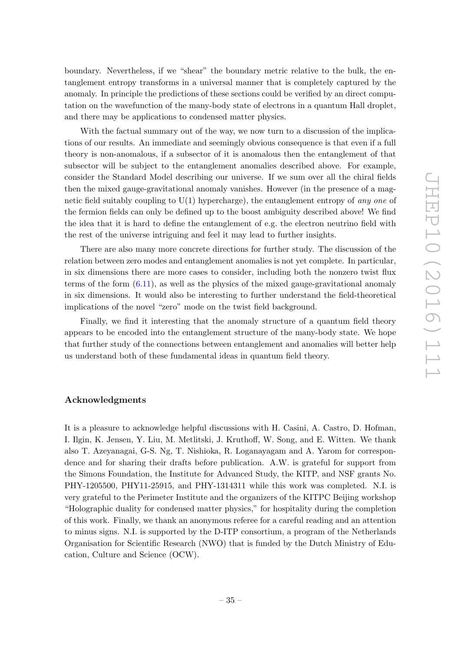boundary. Nevertheless, if we "shear" the boundary metric relative to the bulk, the entanglement entropy transforms in a universal manner that is completely captured by the anomaly. In principle the predictions of these sections could be verified by an direct computation on the wavefunction of the many-body state of electrons in a quantum Hall droplet, and there may be applications to condensed matter physics.

With the factual summary out of the way, we now turn to a discussion of the implications of our results. An immediate and seemingly obvious consequence is that even if a full theory is non-anomalous, if a subsector of it is anomalous then the entanglement of that subsector will be subject to the entanglement anomalies described above. For example, consider the Standard Model describing our universe. If we sum over all the chiral fields then the mixed gauge-gravitational anomaly vanishes. However (in the presence of a magnetic field suitably coupling to  $U(1)$  hypercharge), the entanglement entropy of any one of the fermion fields can only be defined up to the boost ambiguity described above! We find the idea that it is hard to define the entanglement of e.g. the electron neutrino field with the rest of the universe intriguing and feel it may lead to further insights.

There are also many more concrete directions for further study. The discussion of the relation between zero modes and entanglement anomalies is not yet complete. In particular, in six dimensions there are more cases to consider, including both the nonzero twist flux terms of the form  $(6.11)$ , as well as the physics of the mixed gauge-gravitational anomaly in six dimensions. It would also be interesting to further understand the field-theoretical implications of the novel "zero" mode on the twist field background.

Finally, we find it interesting that the anomaly structure of a quantum field theory appears to be encoded into the entanglement structure of the many-body state. We hope that further study of the connections between entanglement and anomalies will better help us understand both of these fundamental ideas in quantum field theory.

## Acknowledgments

It is a pleasure to acknowledge helpful discussions with H. Casini, A. Castro, D. Hofman, I. Ilgin, K. Jensen, Y. Liu, M. Metlitski, J. Kruthoff, W. Song, and E. Witten. We thank also T. Azeyanagai, G-S. Ng, T. Nishioka, R. Loganayagam and A. Yarom for correspondence and for sharing their drafts before publication. A.W. is grateful for support from the Simons Foundation, the Institute for Advanced Study, the KITP, and NSF grants No. PHY-1205500, PHY11-25915, and PHY-1314311 while this work was completed. N.I. is very grateful to the Perimeter Institute and the organizers of the KITPC Beijing workshop "Holographic duality for condensed matter physics," for hospitality during the completion of this work. Finally, we thank an anonymous referee for a careful reading and an attention to minus signs. N.I. is supported by the D-ITP consortium, a program of the Netherlands Organisation for Scientific Research (NWO) that is funded by the Dutch Ministry of Education, Culture and Science (OCW).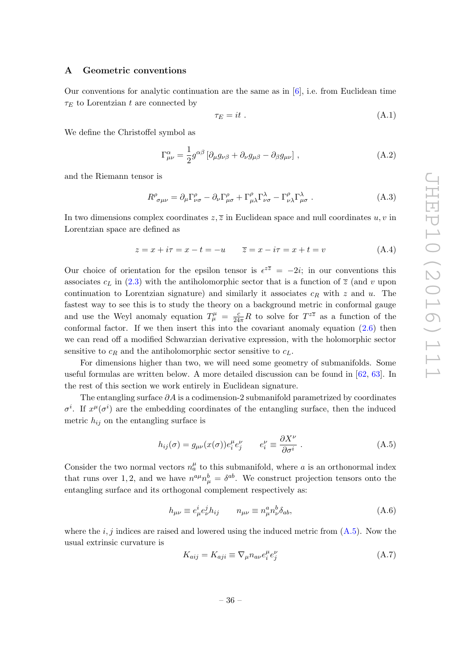## <span id="page-37-0"></span>A Geometric conventions

Our conventions for analytic continuation are the same as in [\[6\]](#page-43-2), i.e. from Euclidean time  $\tau_E$  to Lorentzian t are connected by

$$
\tau_E = it \tag{A.1}
$$

We define the Christoffel symbol as

$$
\Gamma^{\alpha}_{\mu\nu} = \frac{1}{2} g^{\alpha\beta} \left[ \partial_{\mu} g_{\nu\beta} + \partial_{\nu} g_{\mu\beta} - \partial_{\beta} g_{\mu\nu} \right], \tag{A.2}
$$

and the Riemann tensor is

$$
R^{\rho}_{\sigma\mu\nu} = \partial_{\mu}\Gamma^{\rho}_{\nu\sigma} - \partial_{\nu}\Gamma^{\rho}_{\mu\sigma} + \Gamma^{\rho}_{\mu\lambda}\Gamma^{\lambda}_{\nu\sigma} - \Gamma^{\rho}_{\nu\lambda}\Gamma^{\lambda}_{\mu\sigma}.
$$
 (A.3)

In two dimensions complex coordinates  $z, \overline{z}$  in Euclidean space and null coordinates  $u, v$  in Lorentzian space are defined as

$$
z = x + i\tau = x - t = -u \qquad \overline{z} = x - i\tau = x + t = v \tag{A.4}
$$

Our choice of orientation for the epsilon tensor is  $\epsilon^{z\overline{z}} = -2i$ ; in our conventions this associates  $c<sub>L</sub>$  in [\(2.3\)](#page-10-5) with the antiholomorphic sector that is a function of  $\overline{z}$  (and v upon continuation to Lorentzian signature) and similarly it associates  $c_R$  with z and u. The fastest way to see this is to study the theory on a background metric in conformal gauge and use the Weyl anomaly equation  $T^{\mu}_{\mu} = \frac{c}{24\pi}R$  to solve for  $T^{z\overline{z}}$  as a function of the conformal factor. If we then insert this into the covariant anomaly equation [\(2.6\)](#page-10-4) then we can read off a modified Schwarzian derivative expression, with the holomorphic sector sensitive to  $c_R$  and the antiholomorphic sector sensitive to  $c_L$ .

For dimensions higher than two, we will need some geometry of submanifolds. Some useful formulas are written below. A more detailed discussion can be found in [\[62,](#page-45-17) [63\]](#page-45-18). In the rest of this section we work entirely in Euclidean signature.

The entangling surface  $\partial A$  is a codimension-2 submanifold parametrized by coordinates  $\sigma^i$ . If  $x^{\mu}(\sigma^i)$  are the embedding coordinates of the entangling surface, then the induced metric  $h_{ij}$  on the entangling surface is

<span id="page-37-1"></span>
$$
h_{ij}(\sigma) = g_{\mu\nu}(x(\sigma))e_i^{\mu}e_j^{\nu} \qquad e_i^{\nu} \equiv \frac{\partial X^{\nu}}{\partial \sigma^i} . \qquad (A.5)
$$

Consider the two normal vectors  $n_a^{\mu}$  to this submanifold, where a is an orthonormal index that runs over 1, 2, and we have  $n^{a\mu}n_{\mu}^{b} = \delta^{ab}$ . We construct projection tensors onto the entangling surface and its orthogonal complement respectively as:

$$
h_{\mu\nu} \equiv e^i_\mu e^j_\nu h_{ij} \qquad n_{\mu\nu} \equiv n^a_\mu n^b_\nu \delta_{ab}, \tag{A.6}
$$

where the  $i, j$  indices are raised and lowered using the induced metric from  $(A.5)$ . Now the usual extrinsic curvature is

$$
K_{aij} = K_{aji} \equiv \nabla_{\mu} n_{a\nu} e_i^{\mu} e_j^{\nu}
$$
 (A.7)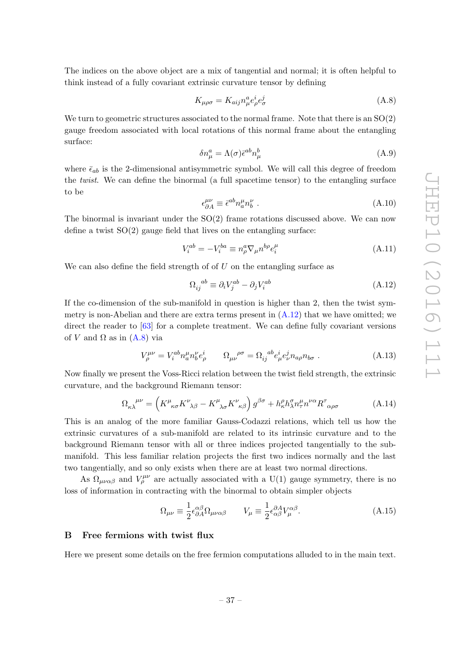The indices on the above object are a mix of tangential and normal; it is often helpful to think instead of a fully covariant extrinsic curvature tensor by defining

<span id="page-38-5"></span>
$$
K_{\mu\rho\sigma} = K_{aij} n^a_\mu e^i_\rho e^j_\sigma \tag{A.8}
$$

We turn to geometric structures associated to the normal frame. Note that there is an  $SO(2)$ gauge freedom associated with local rotations of this normal frame about the entangling surface:

$$
\delta n^a_\mu = \Lambda(\sigma) \bar{\epsilon}^{ab} n^b_\mu \tag{A.9}
$$

where  $\bar{\epsilon}_{ab}$  is the 2-dimensional antisymmetric symbol. We will call this degree of freedom the twist. We can define the binormal (a full spacetime tensor) to the entangling surface to be

<span id="page-38-1"></span>
$$
\epsilon_{\partial A}^{\mu\nu} \equiv \bar{\epsilon}^{ab} n_a^{\mu} n_b^{\nu} \tag{A.10}
$$

The binormal is invariant under the  $SO(2)$  frame rotations discussed above. We can now define a twist  $SO(2)$  gauge field that lives on the entangling surface:

$$
V_i^{ab} = -V_i^{ba} \equiv n^a_\rho \nabla_\mu n^{b\rho} e_i^\mu \tag{A.11}
$$

We can also define the field strength of  $U$  on the entangling surface as

<span id="page-38-4"></span>
$$
\Omega_{ij}^{ab} \equiv \partial_i V_j^{ab} - \partial_j V_i^{ab} \tag{A.12}
$$

If the co-dimension of the sub-manifold in question is higher than 2, then the twist symmetry is non-Abelian and there are extra terms present in  $(A.12)$  that we have omitted; we direct the reader to [\[63\]](#page-45-18) for a complete treatment. We can define fully covariant versions of V and  $\Omega$  as in  $(A.8)$  via

$$
V_{\rho}^{\mu\nu} = V_i^{ab} n_a^{\mu} n_b^{\nu} e_{\rho}^{i} \qquad \Omega_{\mu\nu}^{\ \rho\sigma} = \Omega_{ij}^{\ \ ab} e_{\mu}^{i} e_{\nu}^{j} n_{a\rho} n_{b\sigma} \ . \tag{A.13}
$$

Now finally we present the Voss-Ricci relation between the twist field strength, the extrinsic curvature, and the background Riemann tensor:

<span id="page-38-2"></span>
$$
\Omega_{\kappa\lambda}^{\mu\nu} = \left( K^{\mu}_{\kappa\sigma} K^{\nu}_{\ \lambda\beta} - K^{\mu}_{\ \lambda\sigma} K^{\nu}_{\ \kappa\beta} \right) g^{\beta\sigma} + h^{\rho}_{\kappa} h^{\sigma}_{\lambda} n^{\mu}_{\tau} n^{\nu\alpha} R^{\tau}_{\ \alpha\rho\sigma} \tag{A.14}
$$

This is an analog of the more familiar Gauss-Codazzi relations, which tell us how the extrinsic curvatures of a sub-manifold are related to its intrinsic curvature and to the background Riemann tensor with all or three indices projected tangentially to the submanifold. This less familiar relation projects the first two indices normally and the last two tangentially, and so only exists when there are at least two normal directions.

As  $\Omega_{\mu\nu\alpha\beta}$  and  $V^{\mu\nu}_{\rho}$  are actually associated with a U(1) gauge symmetry, there is no loss of information in contracting with the binormal to obtain simpler objects

<span id="page-38-3"></span>
$$
\Omega_{\mu\nu} \equiv \frac{1}{2} \epsilon^{\alpha\beta}_{\partial A} \Omega_{\mu\nu\alpha\beta} \qquad V_{\mu} \equiv \frac{1}{2} \epsilon^{\partial A}_{\alpha\beta} V^{\alpha\beta}_{\mu}.
$$
\n(A.15)

#### <span id="page-38-0"></span>B Free fermions with twist flux

Here we present some details on the free fermion computations alluded to in the main text.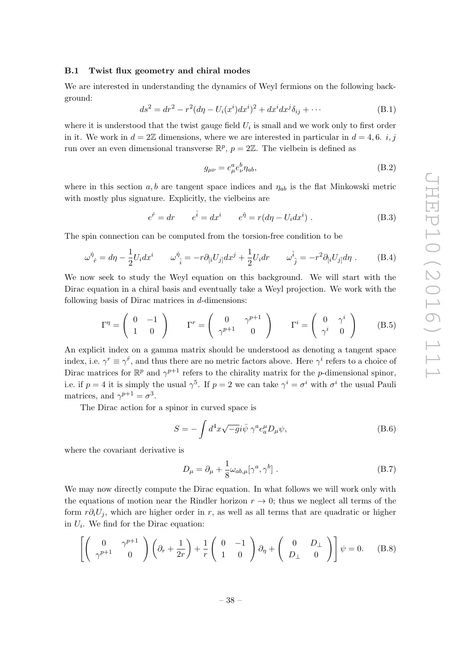## <span id="page-39-0"></span>B.1 Twist flux geometry and chiral modes

We are interested in understanding the dynamics of Weyl fermions on the following background:

$$
ds^{2} = dr^{2} - r^{2}(d\eta - U_{i}(x^{i})dx^{i})^{2} + dx^{i}dx^{j}\delta_{ij} + \cdots
$$
 (B.1)

where it is understood that the twist gauge field  $U_i$  is small and we work only to first order in it. We work in  $d = 2\mathbb{Z}$  dimensions, where we are interested in particular in  $d = 4, 6, i, j$ run over an even dimensional transverse  $\mathbb{R}^p$ ,  $p = 2\mathbb{Z}$ . The vielbein is defined as

$$
g_{\mu\nu} = e^a_\mu e^b_\nu \eta_{ab},\tag{B.2}
$$

where in this section a, b are tangent space indices and  $\eta_{ab}$  is the flat Minkowski metric with mostly plus signature. Explicitly, the vielbeins are

$$
e^{\hat{r}} = dr \qquad e^{\hat{i}} = dx^i \qquad e^{\hat{\eta}} = r(d\eta - U_i dx^i) \tag{B.3}
$$

The spin connection can be computed from the torsion-free condition to be

$$
\omega_{\hat{r}}^{\hat{\eta}} = d\eta - \frac{1}{2}U_i dx^i \qquad \omega_{\hat{i}}^{\hat{\eta}} = -r\partial_{[i}U_{j]}dx^j + \frac{1}{2}U_i dr \qquad \omega_{\hat{j}}^{\hat{i}} = -r^2\partial_{[i}U_{j]}d\eta \ . \tag{B.4}
$$

We now seek to study the Weyl equation on this background. We will start with the Dirac equation in a chiral basis and eventually take a Weyl projection. We work with the following basis of Dirac matrices in  $d$ -dimensions:

$$
\Gamma^{\eta} = \begin{pmatrix} 0 & -1 \\ 1 & 0 \end{pmatrix} \qquad \Gamma^{r} = \begin{pmatrix} 0 & \gamma^{p+1} \\ \gamma^{p+1} & 0 \end{pmatrix} \qquad \Gamma^{i} = \begin{pmatrix} 0 & \gamma^{i} \\ \gamma^{i} & 0 \end{pmatrix} \qquad (B.5)
$$

An explicit index on a gamma matrix should be understood as denoting a tangent space index, i.e.  $\gamma^r \equiv \gamma^{\hat{r}}$ , and thus there are no metric factors above. Here  $\gamma^i$  refers to a choice of Dirac matrices for  $\mathbb{R}^p$  and  $\gamma^{p+1}$  refers to the chirality matrix for the *p*-dimensional spinor, i.e. if  $p = 4$  it is simply the usual  $\gamma^5$ . If  $p = 2$  we can take  $\gamma^i = \sigma^i$  with  $\sigma^i$  the usual Pauli matrices, and  $\gamma^{p+1} = \sigma^3$ .

The Dirac action for a spinor in curved space is

$$
S = -\int d^4x \sqrt{-g} i \bar{\psi} \gamma^a e_a^{\mu} D_{\mu} \psi,
$$
 (B.6)

where the covariant derivative is

$$
D_{\mu} = \partial_{\mu} + \frac{1}{8} \omega_{ab,\mu} [\gamma^a, \gamma^b] . \tag{B.7}
$$

We may now directly compute the Dirac equation. In what follows we will work only with the equations of motion near the Rindler horizon  $r \to 0$ ; thus we neglect all terms of the form  $r\partial_i U_j$ , which are higher order in r, as well as all terms that are quadratic or higher in  $U_i$ . We find for the Dirac equation:

$$
\left[ \left( \begin{array}{cc} 0 & \gamma^{p+1} \\ \gamma^{p+1} & 0 \end{array} \right) \left( \partial_r + \frac{1}{2r} \right) + \frac{1}{r} \left( \begin{array}{cc} 0 & -1 \\ 1 & 0 \end{array} \right) \partial_\eta + \left( \begin{array}{cc} 0 & D_\perp \\ D_\perp & 0 \end{array} \right) \right] \psi = 0. \quad (B.8)
$$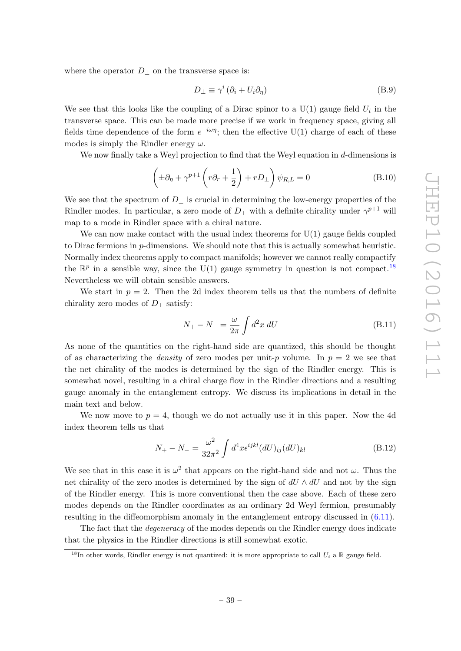where the operator  $D_{\perp}$  on the transverse space is:

$$
D_{\perp} \equiv \gamma^i \left(\partial_i + U_i \partial_\eta\right) \tag{B.9}
$$

We see that this looks like the coupling of a Dirac spinor to a  $U(1)$  gauge field  $U_i$  in the transverse space. This can be made more precise if we work in frequency space, giving all fields time dependence of the form  $e^{-i\omega\eta}$ ; then the effective U(1) charge of each of these modes is simply the Rindler energy  $\omega$ .

We now finally take a Weyl projection to find that the Weyl equation in d-dimensions is

$$
\left(\pm \partial_{\eta} + \gamma^{p+1} \left(r \partial_{r} + \frac{1}{2}\right) + r D_{\perp}\right) \psi_{R,L} = 0
$$
\n(B.10)

We see that the spectrum of  $D_{\perp}$  is crucial in determining the low-energy properties of the Rindler modes. In particular, a zero mode of  $D_{\perp}$  with a definite chirality under  $\gamma^{p+1}$  will map to a mode in Rindler space with a chiral nature.

We can now make contact with the usual index theorems for  $U(1)$  gauge fields coupled to Dirac fermions in p-dimensions. We should note that this is actually somewhat heuristic. Normally index theorems apply to compact manifolds; however we cannot really compactify the  $\mathbb{R}^p$  in a sensible way, since the U(1) gauge symmetry in question is not compact.<sup>[18](#page-40-0)</sup> Nevertheless we will obtain sensible answers.

We start in  $p = 2$ . Then the 2d index theorem tells us that the numbers of definite chirality zero modes of  $D_{\perp}$  satisfy:

<span id="page-40-1"></span>
$$
N_{+} - N_{-} = \frac{\omega}{2\pi} \int d^{2}x \, dU \tag{B.11}
$$

As none of the quantities on the right-hand side are quantized, this should be thought of as characterizing the *density* of zero modes per unit-p volume. In  $p = 2$  we see that the net chirality of the modes is determined by the sign of the Rindler energy. This is somewhat novel, resulting in a chiral charge flow in the Rindler directions and a resulting gauge anomaly in the entanglement entropy. We discuss its implications in detail in the main text and below.

We now move to  $p = 4$ , though we do not actually use it in this paper. Now the 4d index theorem tells us that

$$
N_{+} - N_{-} = \frac{\omega^2}{32\pi^2} \int d^4x \epsilon^{ijkl} (dU)_{ij} (dU)_{kl}
$$
 (B.12)

We see that in this case it is  $\omega^2$  that appears on the right-hand side and not  $\omega$ . Thus the net chirality of the zero modes is determined by the sign of  $dU \wedge dU$  and not by the sign of the Rindler energy. This is more conventional then the case above. Each of these zero modes depends on the Rindler coordinates as an ordinary 2d Weyl fermion, presumably resulting in the diffeomorphism anomaly in the entanglement entropy discussed in [\(6.11\)](#page-34-2).

The fact that the *degeneracy* of the modes depends on the Rindler energy does indicate that the physics in the Rindler directions is still somewhat exotic.

<span id="page-40-0"></span><sup>&</sup>lt;sup>18</sup>In other words, Rindler energy is not quantized: it is more appropriate to call  $U_i$  a R gauge field.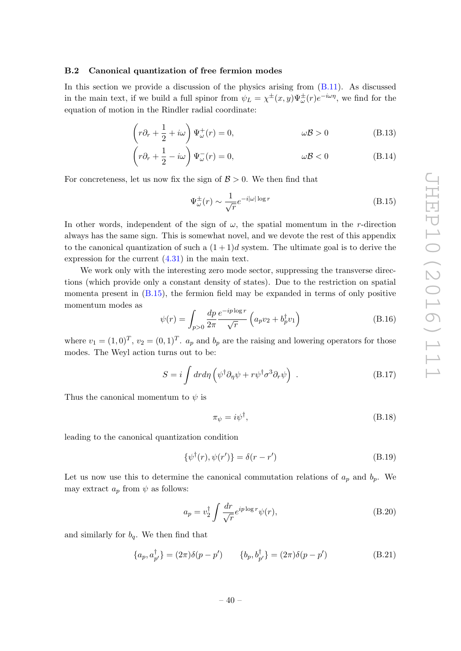## <span id="page-41-0"></span>B.2 Canonical quantization of free fermion modes

In this section we provide a discussion of the physics arising from [\(B.11\)](#page-40-1). As discussed in the main text, if we build a full spinor from  $\psi_L = \chi^{\pm}(x, y) \Psi^{\pm}_{\omega}(r) e^{-i\omega \eta}$ , we find for the equation of motion in the Rindler radial coordinate:

$$
\left(r\partial_r + \frac{1}{2} + i\omega\right)\Psi^+_{\omega}(r) = 0, \qquad \omega\mathcal{B} > 0 \qquad (B.13)
$$

$$
\left(r\partial_r + \frac{1}{2} - i\omega\right)\Psi_{\omega}^-(r) = 0, \qquad \omega\mathcal{B} < 0 \qquad (B.14)
$$

For concreteness, let us now fix the sign of  $\mathcal{B} > 0$ . We then find that

<span id="page-41-1"></span>
$$
\Psi_{\omega}^{\pm}(r) \sim \frac{1}{\sqrt{r}} e^{-i|\omega|\log r}
$$
\n(B.15)

In other words, independent of the sign of  $\omega$ , the spatial momentum in the r-direction always has the same sign. This is somewhat novel, and we devote the rest of this appendix to the canonical quantization of such a  $(1+1)d$  system. The ultimate goal is to derive the expression for the current [\(4.31\)](#page-27-0) in the main text.

We work only with the interesting zero mode sector, suppressing the transverse directions (which provide only a constant density of states). Due to the restriction on spatial momenta present in  $(B.15)$ , the fermion field may be expanded in terms of only positive momentum modes as

$$
\psi(r) = \int_{p>0} \frac{dp}{2\pi} \frac{e^{-ip\log r}}{\sqrt{r}} \left( a_p v_2 + b_p^{\dagger} v_1 \right)
$$
(B.16)

where  $v_1 = (1, 0)^T$ ,  $v_2 = (0, 1)^T$ .  $a_p$  and  $b_p$  are the raising and lowering operators for those modes. The Weyl action turns out to be:

$$
S = i \int dr d\eta \left( \psi^{\dagger} \partial_{\eta} \psi + r \psi^{\dagger} \sigma^3 \partial_r \psi \right) . \tag{B.17}
$$

Thus the canonical momentum to  $\psi$  is

$$
\pi_{\psi} = i\psi^{\dagger},\tag{B.18}
$$

leading to the canonical quantization condition

$$
\{\psi^{\dagger}(r), \psi(r')\} = \delta(r - r') \tag{B.19}
$$

Let us now use this to determine the canonical commutation relations of  $a_p$  and  $b_p$ . We may extract  $a_p$  from  $\psi$  as follows:

$$
a_p = v_2^{\dagger} \int \frac{dr}{\sqrt{r}} e^{ip \log r} \psi(r), \tag{B.20}
$$

and similarly for  $b_q$ . We then find that

$$
\{a_p, a_{p'}^{\dagger}\} = (2\pi)\delta(p - p') \qquad \{b_p, b_{p'}^{\dagger}\} = (2\pi)\delta(p - p')
$$
 (B.21)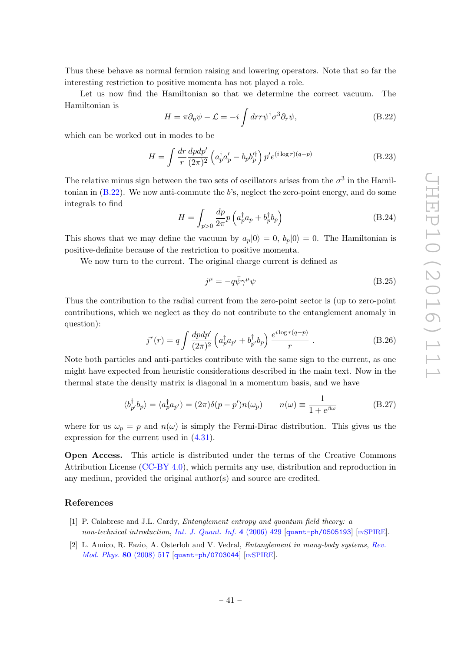Thus these behave as normal fermion raising and lowering operators. Note that so far the interesting restriction to positive momenta has not played a role.

Let us now find the Hamiltonian so that we determine the correct vacuum. The Hamiltonian is

<span id="page-42-1"></span>
$$
H = \pi \partial_{\eta} \psi - \mathcal{L} = -i \int dr r \psi^{\dagger} \sigma^3 \partial_r \psi,
$$
 (B.22)

which can be worked out in modes to be

$$
H = \int \frac{dr}{r} \frac{dpdp'}{(2\pi)^2} \left( a_p^{\dagger} a_p' - b_p b_p'^{\dagger} \right) p' e^{(i \log r)(q - p)} \tag{B.23}
$$

The relative minus sign between the two sets of oscillators arises from the  $\sigma^3$  in the Hamiltonian in  $(B.22)$ . We now anti-commute the b's, neglect the zero-point energy, and do some integrals to find

$$
H = \int_{p>0} \frac{dp}{2\pi} p \left( a_p^{\dagger} a_p + b_p^{\dagger} b_p \right) \tag{B.24}
$$

This shows that we may define the vacuum by  $a_p|0\rangle = 0$ ,  $b_p|0\rangle = 0$ . The Hamiltonian is positive-definite because of the restriction to positive momenta.

We now turn to the current. The original charge current is defined as

$$
j^{\mu} = -q\bar{\psi}\gamma^{\mu}\psi\tag{B.25}
$$

Thus the contribution to the radial current from the zero-point sector is (up to zero-point contributions, which we neglect as they do not contribute to the entanglement anomaly in question):

$$
j^{r}(r) = q \int \frac{dpdp'}{(2\pi)^{2}} \left( a_{p}^{\dagger} a_{p'} + b_{p'}^{\dagger} b_{p} \right) \frac{e^{i \log r(q-p)}}{r} . \tag{B.26}
$$

Note both particles and anti-particles contribute with the same sign to the current, as one might have expected from heuristic considerations described in the main text. Now in the thermal state the density matrix is diagonal in a momentum basis, and we have

$$
\langle b_{p'}^{\dagger} b_p \rangle = \langle a_p^{\dagger} a_{p'} \rangle = (2\pi) \delta(p - p') n(\omega_p) \qquad n(\omega) \equiv \frac{1}{1 + e^{\beta \omega}} \tag{B.27}
$$

where for us  $\omega_p = p$  and  $n(\omega)$  is simply the Fermi-Dirac distribution. This gives us the expression for the current used in [\(4.31\)](#page-27-0).

Open Access. This article is distributed under the terms of the Creative Commons Attribution License [\(CC-BY 4.0\)](http://creativecommons.org/licenses/by/4.0/), which permits any use, distribution and reproduction in any medium, provided the original author(s) and source are credited.

## References

- <span id="page-42-0"></span>[1] P. Calabrese and J.L. Cardy, Entanglement entropy and quantum field theory: a non-technical introduction, [Int. J. Quant. Inf.](http://dx.doi.org/10.1142/S021974990600192X) 4 (2006) 429 [[quant-ph/0505193](https://arxiv.org/abs/quant-ph/0505193)] [IN[SPIRE](http://inspirehep.net/search?p=find+EPRINT+quant-ph/0505193)].
- [2] L. Amico, R. Fazio, A. Osterloh and V. Vedral, Entanglement in many-body systems, [Rev.](http://dx.doi.org/10.1103/RevModPhys.80.517) [Mod. Phys.](http://dx.doi.org/10.1103/RevModPhys.80.517) 80 (2008) 517 [[quant-ph/0703044](https://arxiv.org/abs/quant-ph/0703044)] [IN[SPIRE](http://inspirehep.net/search?p=find+EPRINT+quant-ph/0703044)].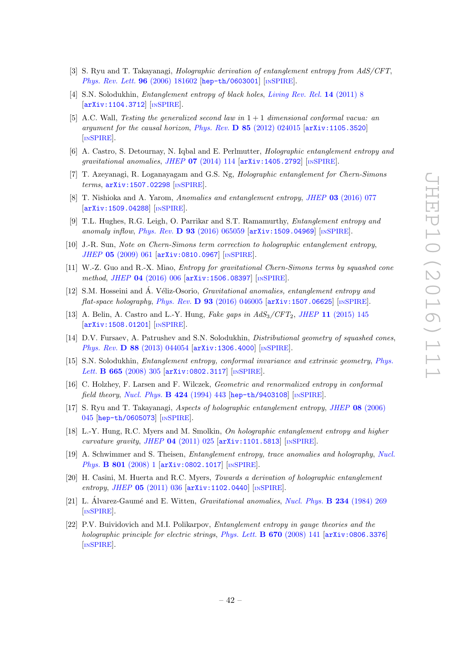- [3] S. Ryu and T. Takayanagi, Holographic derivation of entanglement entropy from AdS/CFT, [Phys. Rev. Lett.](http://dx.doi.org/10.1103/PhysRevLett.96.181602) 96 (2006) 181602 [[hep-th/0603001](https://arxiv.org/abs/hep-th/0603001)] [IN[SPIRE](http://inspirehep.net/search?p=find+EPRINT+hep-th/0603001)].
- <span id="page-43-0"></span>[4] S.N. Solodukhin, Entanglement entropy of black holes, [Living Rev. Rel.](http://dx.doi.org/10.12942/lrr-2011-8) 14 (2011) 8 [[arXiv:1104.3712](https://arxiv.org/abs/1104.3712)] [IN[SPIRE](http://inspirehep.net/search?p=find+EPRINT+arXiv:1104.3712)].
- <span id="page-43-1"></span>[5] A.C. Wall, Testing the generalized second law in  $1+1$  dimensional conformal vacua: an argument for the causal horizon, Phys. Rev.  $\bf{D} 85$  [\(2012\) 024015](http://dx.doi.org/10.1103/PhysRevD.85.024015) [[arXiv:1105.3520](https://arxiv.org/abs/1105.3520)] [IN[SPIRE](http://inspirehep.net/search?p=find+EPRINT+arXiv:1105.3520)].
- <span id="page-43-2"></span>[6] A. Castro, S. Detournay, N. Iqbal and E. Perlmutter, Holographic entanglement entropy and gravitational anomalies, JHEP  $07$  [\(2014\) 114](http://dx.doi.org/10.1007/JHEP07(2014)114)  $\text{arXiv:1405.2792}$  $\text{arXiv:1405.2792}$  $\text{arXiv:1405.2792}$  [IN[SPIRE](http://inspirehep.net/search?p=find+EPRINT+arXiv:1405.2792)].
- <span id="page-43-3"></span>[7] T. Azeyanagi, R. Loganayagam and G.S. Ng, Holographic entanglement for Chern-Simons terms, [arXiv:1507.02298](https://arxiv.org/abs/1507.02298) [IN[SPIRE](http://inspirehep.net/search?p=find+EPRINT+arXiv:1507.02298)].
- <span id="page-43-5"></span>[8] T. Nishioka and A. Yarom, Anomalies and entanglement entropy, JHEP 03 [\(2016\) 077](http://dx.doi.org/10.1007/JHEP03(2016)077) [[arXiv:1509.04288](https://arxiv.org/abs/1509.04288)] [IN[SPIRE](http://inspirehep.net/search?p=find+EPRINT+arXiv:1509.04288)].
- <span id="page-43-4"></span>[9] T.L. Hughes, R.G. Leigh, O. Parrikar and S.T. Ramamurthy, Entanglement entropy and anomaly inflow, Phys. Rev. D  $93$  [\(2016\) 065059](http://dx.doi.org/10.1103/PhysRevD.93.065059) [[arXiv:1509.04969](https://arxiv.org/abs/1509.04969)] [IN[SPIRE](http://inspirehep.net/search?p=find+EPRINT+arXiv:1509.04969)].
- <span id="page-43-6"></span>[10] J.-R. Sun, Note on Chern-Simons term correction to holographic entanglement entropy, JHEP 05 [\(2009\) 061](http://dx.doi.org/10.1088/1126-6708/2009/05/061) [[arXiv:0810.0967](https://arxiv.org/abs/0810.0967)] [IN[SPIRE](http://inspirehep.net/search?p=find+EPRINT+arXiv:0810.0967)].
- [11] W.-Z. Guo and R.-X. Miao, Entropy for gravitational Chern-Simons terms by squashed cone method, JHEP 04 [\(2016\) 006](http://dx.doi.org/10.1007/JHEP04(2016)006) [[arXiv:1506.08397](https://arxiv.org/abs/1506.08397)] [IN[SPIRE](http://inspirehep.net/search?p=find+EPRINT+arXiv:1506.08397)].
- [12] S.M. Hosseini and Á. Véliz-Osorio, *Gravitational anomalies, entanglement entropy and* flat-space holography, Phys. Rev. D  $93$  [\(2016\) 046005](http://dx.doi.org/10.1103/PhysRevD.93.046005) [[arXiv:1507.06625](https://arxiv.org/abs/1507.06625)] [IN[SPIRE](http://inspirehep.net/search?p=find+EPRINT+arXiv:1507.06625)].
- <span id="page-43-7"></span>[13] A. Belin, A. Castro and L.-Y. Hung, *Fake gaps in*  $AdS_3/CFT_2$ *, JHEP* 11 [\(2015\) 145](http://dx.doi.org/10.1007/JHEP11(2015)145) [[arXiv:1508.01201](https://arxiv.org/abs/1508.01201)] [IN[SPIRE](http://inspirehep.net/search?p=find+EPRINT+arXiv:1508.01201)].
- <span id="page-43-8"></span>[14] D.V. Fursaev, A. Patrushev and S.N. Solodukhin, *Distributional geometry of squashed cones*, Phys. Rev. **D 88** [\(2013\) 044054](http://dx.doi.org/10.1103/PhysRevD.88.044054) [[arXiv:1306.4000](https://arxiv.org/abs/1306.4000)] [IN[SPIRE](http://inspirehep.net/search?p=find+EPRINT+arXiv:1306.4000)].
- <span id="page-43-9"></span>[15] S.N. Solodukhin, Entanglement entropy, conformal invariance and extrinsic geometry, [Phys.](http://dx.doi.org/10.1016/j.physletb.2008.05.071) Lett. **B 665** [\(2008\) 305](http://dx.doi.org/10.1016/j.physletb.2008.05.071) [[arXiv:0802.3117](https://arxiv.org/abs/0802.3117)] [IN[SPIRE](http://inspirehep.net/search?p=find+EPRINT+arXiv:0802.3117)].
- <span id="page-43-13"></span>[16] C. Holzhey, F. Larsen and F. Wilczek, Geometric and renormalized entropy in conformal field theory, [Nucl. Phys.](http://dx.doi.org/10.1016/0550-3213(94)90402-2)  $\bf{B}$  424 (1994) 443 [[hep-th/9403108](https://arxiv.org/abs/hep-th/9403108)] [IN[SPIRE](http://inspirehep.net/search?p=find+EPRINT+hep-th/9403108)].
- [17] S. Ryu and T. Takayanagi, Aspects of holographic entanglement entropy, JHEP 08 [\(2006\)](http://dx.doi.org/10.1088/1126-6708/2006/08/045) [045](http://dx.doi.org/10.1088/1126-6708/2006/08/045) [[hep-th/0605073](https://arxiv.org/abs/hep-th/0605073)] [IN[SPIRE](http://inspirehep.net/search?p=find+EPRINT+hep-th/0605073)].
- [18] L.-Y. Hung, R.C. Myers and M. Smolkin, On holographic entanglement entropy and higher curvature gravity, JHEP  $04$  [\(2011\) 025](http://dx.doi.org/10.1007/JHEP04(2011)025)  $\text{arXiv:1101.5813}$  $\text{arXiv:1101.5813}$  $\text{arXiv:1101.5813}$  [IN[SPIRE](http://inspirehep.net/search?p=find+EPRINT+arXiv:1101.5813)].
- [19] A. Schwimmer and S. Theisen, Entanglement entropy, trace anomalies and holography, [Nucl.](http://dx.doi.org/10.1016/j.nuclphysb.2008.04.015) Phys. **B 801** [\(2008\) 1](http://dx.doi.org/10.1016/j.nuclphysb.2008.04.015) [[arXiv:0802.1017](https://arxiv.org/abs/0802.1017)] [IN[SPIRE](http://inspirehep.net/search?p=find+EPRINT+arXiv:0802.1017)].
- <span id="page-43-10"></span>[20] H. Casini, M. Huerta and R.C. Myers, Towards a derivation of holographic entanglement entropy, JHEP  $05$  [\(2011\) 036](http://dx.doi.org/10.1007/JHEP05(2011)036)  $\text{arXiv:1102.0440}$  $\text{arXiv:1102.0440}$  $\text{arXiv:1102.0440}$  [IN[SPIRE](http://inspirehep.net/search?p=find+EPRINT+arXiv:1102.0440)].
- <span id="page-43-11"></span>[21] L. Álvarez-Gaumé and E. Witten, *Gravitational anomalies*, *[Nucl. Phys.](http://dx.doi.org/10.1016/0550-3213(84)90066-X)* **B** 234 (1984) 269 [IN[SPIRE](http://inspirehep.net/search?p=find+J+%22Nucl.Phys.,B234,269%22)].
- <span id="page-43-12"></span>[22] P.V. Buividovich and M.I. Polikarpov, Entanglement entropy in gauge theories and the holographic principle for electric strings, [Phys. Lett.](http://dx.doi.org/10.1016/j.physletb.2008.10.032) **B** 670 (2008) 141  $\left[$ [arXiv:0806.3376](https://arxiv.org/abs/0806.3376) $\right]$ [IN[SPIRE](http://inspirehep.net/search?p=find+EPRINT+arXiv:0806.3376)].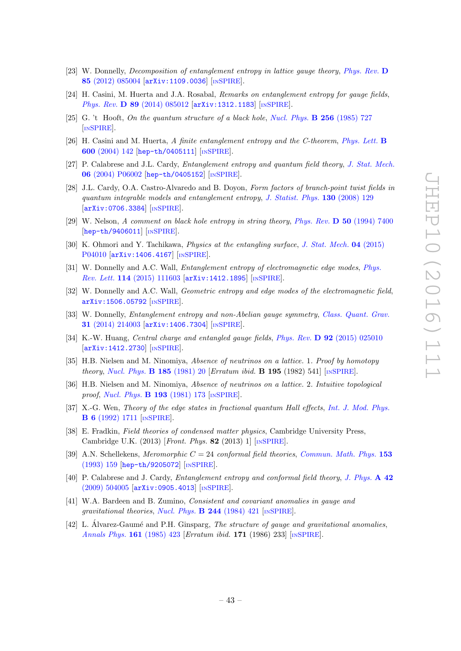- [23] W. Donnelly, Decomposition of entanglement entropy in lattice gauge theory, [Phys. Rev.](http://dx.doi.org/10.1103/PhysRevD.85.085004) D 85 [\(2012\) 085004](http://dx.doi.org/10.1103/PhysRevD.85.085004) [[arXiv:1109.0036](https://arxiv.org/abs/1109.0036)] [IN[SPIRE](http://inspirehep.net/search?p=find+EPRINT+arXiv:1109.0036)].
- <span id="page-44-0"></span>[24] H. Casini, M. Huerta and J.A. Rosabal, Remarks on entanglement entropy for gauge fields, Phys. Rev. D 89 [\(2014\) 085012](http://dx.doi.org/10.1103/PhysRevD.89.085012) [[arXiv:1312.1183](https://arxiv.org/abs/1312.1183)] [IN[SPIRE](http://inspirehep.net/search?p=find+EPRINT+arXiv:1312.1183)].
- <span id="page-44-1"></span>[25] G. 't Hooft, On the quantum structure of a black hole, [Nucl. Phys.](http://dx.doi.org/10.1016/0550-3213(85)90418-3)  $\bf{B}$  256 (1985) 727 [IN[SPIRE](http://inspirehep.net/search?p=find+J+%22Nucl.Phys.,B256,727%22)].
- <span id="page-44-2"></span>[26] H. Casini and M. Huerta, A finite entanglement entropy and the C-theorem, [Phys. Lett.](http://dx.doi.org/10.1016/j.physletb.2004.08.072) **B** 600 [\(2004\) 142](http://dx.doi.org/10.1016/j.physletb.2004.08.072) [[hep-th/0405111](https://arxiv.org/abs/hep-th/0405111)] [IN[SPIRE](http://inspirehep.net/search?p=find+EPRINT+hep-th/0405111)].
- <span id="page-44-3"></span>[27] P. Calabrese and J.L. Cardy, Entanglement entropy and quantum field theory, [J. Stat. Mech.](http://dx.doi.org/10.1088/1742-5468/2004/06/P06002) 06 [\(2004\) P06002](http://dx.doi.org/10.1088/1742-5468/2004/06/P06002) [[hep-th/0405152](https://arxiv.org/abs/hep-th/0405152)] [IN[SPIRE](http://inspirehep.net/search?p=find+EPRINT+hep-th/0405152)].
- <span id="page-44-4"></span>[28] J.L. Cardy, O.A. Castro-Alvaredo and B. Doyon, Form factors of branch-point twist fields in quantum integrable models and entanglement entropy, [J. Statist. Phys.](http://dx.doi.org/10.1007/s10955-007-9422-x) 130 (2008) 129 [[arXiv:0706.3384](https://arxiv.org/abs/0706.3384)] [IN[SPIRE](http://inspirehep.net/search?p=find+EPRINT+arXiv:0706.3384)].
- <span id="page-44-5"></span>[29] W. Nelson, A comment on black hole entropy in string theory, Phys. Rev. D 50 [\(1994\) 7400](http://dx.doi.org/10.1103/PhysRevD.50.7400) [[hep-th/9406011](https://arxiv.org/abs/hep-th/9406011)] [IN[SPIRE](http://inspirehep.net/search?p=find+EPRINT+hep-th/9406011)].
- <span id="page-44-8"></span>[30] K. Ohmori and Y. Tachikawa, *Physics at the entangling surface*, *[J. Stat. Mech.](http://dx.doi.org/10.1088/1742-5468/2015/04/P04010)* **04** (2015) [P04010](http://dx.doi.org/10.1088/1742-5468/2015/04/P04010) [[arXiv:1406.4167](https://arxiv.org/abs/1406.4167)] [IN[SPIRE](http://inspirehep.net/search?p=find+EPRINT+arXiv:1406.4167)].
- [31] W. Donnelly and A.C. Wall, *Entanglement entropy of electromagnetic edge modes*, *[Phys.](http://dx.doi.org/10.1103/PhysRevLett.114.111603)* Rev. Lett. 114 [\(2015\) 111603](http://dx.doi.org/10.1103/PhysRevLett.114.111603) [[arXiv:1412.1895](https://arxiv.org/abs/1412.1895)] [IN[SPIRE](http://inspirehep.net/search?p=find+EPRINT+arXiv:1412.1895)].
- [32] W. Donnelly and A.C. Wall, *Geometric entropy and edge modes of the electromagnetic field*, [arXiv:1506.05792](https://arxiv.org/abs/1506.05792) [IN[SPIRE](http://inspirehep.net/search?p=find+EPRINT+arXiv:1506.05792)].
- [33] W. Donnelly, *Entanglement entropy and non-Abelian gauge symmetry, [Class. Quant. Grav.](http://dx.doi.org/10.1088/0264-9381/31/21/214003)* 31 [\(2014\) 214003](http://dx.doi.org/10.1088/0264-9381/31/21/214003) [[arXiv:1406.7304](https://arxiv.org/abs/1406.7304)] [IN[SPIRE](http://inspirehep.net/search?p=find+EPRINT+arXiv:1406.7304)].
- <span id="page-44-9"></span>[34] K.-W. Huang, Central charge and entangled gauge fields, Phys. Rev. D 92 [\(2015\) 025010](http://dx.doi.org/10.1103/PhysRevD.92.025010) [[arXiv:1412.2730](https://arxiv.org/abs/1412.2730)] [IN[SPIRE](http://inspirehep.net/search?p=find+EPRINT+arXiv:1412.2730)].
- <span id="page-44-6"></span>[35] H.B. Nielsen and M. Ninomiya, *Absence of neutrinos on a lattice.* 1. Proof by homotopy theory, [Nucl. Phys.](http://dx.doi.org/10.1016/0550-3213(81)90361-8) **B** 185 (1981) 20 [Erratum ibid. **B 195** (1982) 541] [IN[SPIRE](http://inspirehep.net/search?p=find+J+%22Nucl.Phys.,B185,20%22)].
- <span id="page-44-7"></span>[36] H.B. Nielsen and M. Ninomiya, Absence of neutrinos on a lattice. 2. Intuitive topological proof, [Nucl. Phys.](http://dx.doi.org/10.1016/0550-3213(81)90524-1) **B 193** (1981) 173 [IN[SPIRE](http://inspirehep.net/search?p=find+J+%22Nucl.Phys.,B193,173%22)].
- <span id="page-44-10"></span>[37] X.-G. Wen, Theory of the edge states in fractional quantum Hall effects, [Int. J. Mod. Phys.](http://dx.doi.org/10.1142/S0217979292000840) B 6 [\(1992\) 1711](http://dx.doi.org/10.1142/S0217979292000840) [IN[SPIRE](http://inspirehep.net/search?p=find+J+%22Int.J.Mod.Phys.,B6,1711%22)].
- <span id="page-44-11"></span>[38] E. Fradkin, Field theories of condensed matter physics, Cambridge University Press, Cambridge U.K. (2013) [Front. Phys. 82 (2013) 1] [IN[SPIRE](http://inspirehep.net/search?p=find+J+%22Front.Phys.,82,1%22)].
- <span id="page-44-12"></span>[39] A.N. Schellekens, *Meromorphic*  $C = 24$  conformal field theories, *[Commun. Math. Phys.](http://dx.doi.org/10.1007/BF02099044)* 153 [\(1993\) 159](http://dx.doi.org/10.1007/BF02099044) [[hep-th/9205072](https://arxiv.org/abs/hep-th/9205072)] [IN[SPIRE](http://inspirehep.net/search?p=find+EPRINT+hep-th/9205072)].
- <span id="page-44-13"></span>[40] P. Calabrese and J. Cardy, *Entanglement entropy and conformal field theory, [J. Phys.](http://dx.doi.org/10.1088/1751-8113/42/50/504005)* A 42 [\(2009\) 504005](http://dx.doi.org/10.1088/1751-8113/42/50/504005) [[arXiv:0905.4013](https://arxiv.org/abs/0905.4013)] [IN[SPIRE](http://inspirehep.net/search?p=find+EPRINT+arXiv:0905.4013)].
- <span id="page-44-14"></span>[41] W.A. Bardeen and B. Zumino, Consistent and covariant anomalies in gauge and gravitational theories, [Nucl. Phys.](http://dx.doi.org/10.1016/0550-3213(84)90322-5) **B 244** (1984) 421 [IN[SPIRE](http://inspirehep.net/search?p=find+J+%22Nucl.Phys.,B244,421%22)].
- [42] L. Alvarez-Gaumé and P.H. Ginsparg, *The structure of gauge and gravitational anomalies*, [Annals Phys.](http://dx.doi.org/10.1016/0003-4916(85)90087-9) 161 (1985) 423 [Erratum ibid. 171 (1986) 233] [IN[SPIRE](http://inspirehep.net/search?p=find+J+%22AnnalsPhys.,161,423%22)].